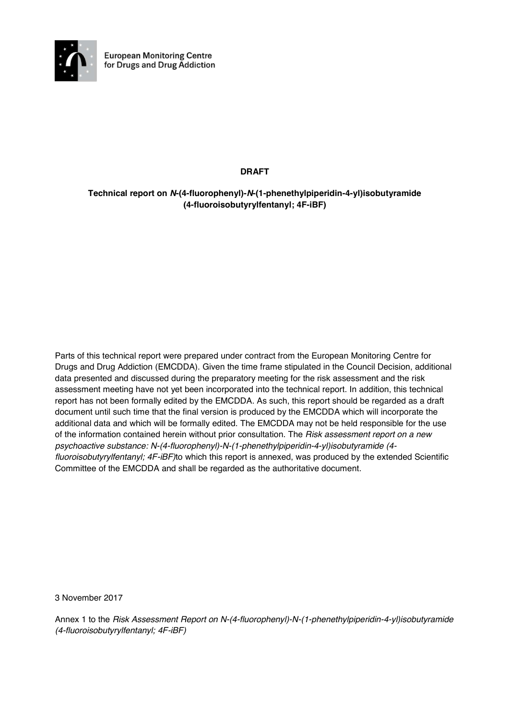

**DRAFT** 

# **Technical report on** *N***-(4-fluorophenyl)-***N***-(1-phenethylpiperidin-4-yl)isobutyramide (4-fluoroisobutyrylfentanyl; 4F-iBF)**

Parts of this technical report were prepared under contract from the European Monitoring Centre for Drugs and Drug Addiction (EMCDDA). Given the time frame stipulated in the Council Decision, additional data presented and discussed during the preparatory meeting for the risk assessment and the risk assessment meeting have not yet been incorporated into the technical report. In addition, this technical report has not been formally edited by the EMCDDA. As such, this report should be regarded as a draft document until such time that the final version is produced by the EMCDDA which will incorporate the additional data and which will be formally edited. The EMCDDA may not be held responsible for the use of the information contained herein without prior consultation. The *Risk assessment report on a new psychoactive substance: N-(4-fluorophenyl)-N-(1-phenethylpiperidin-4-yl)isobutyramide (4 fluoroisobutyrylfentanyl; 4F-iBF)*to which this report is annexed, was produced by the extended Scientific Committee of the EMCDDA and shall be regarded as the authoritative document.

3 November 2017

Annex 1 to the *Risk Assessment Report on N-(4-fluorophenyl)-N-(1-phenethylpiperidin-4-yl)isobutyramide (4-fluoroisobutyrylfentanyl; 4F-iBF)*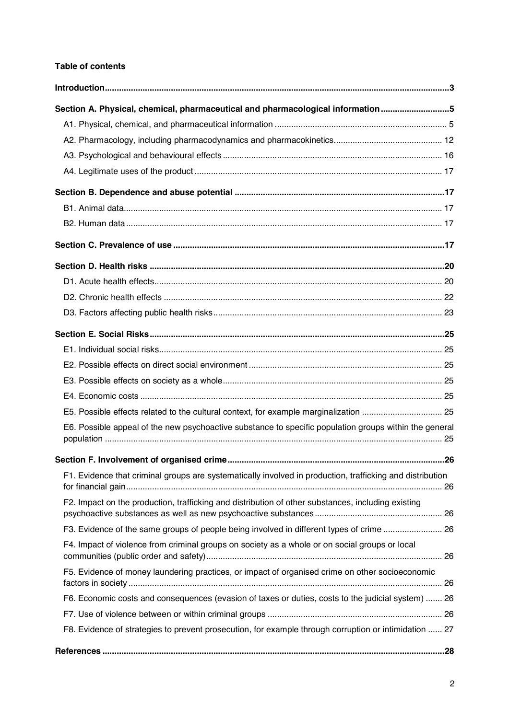# **Table of contents**

| Section A. Physical, chemical, pharmaceutical and pharmacological information5                            |  |
|-----------------------------------------------------------------------------------------------------------|--|
|                                                                                                           |  |
|                                                                                                           |  |
|                                                                                                           |  |
|                                                                                                           |  |
|                                                                                                           |  |
|                                                                                                           |  |
|                                                                                                           |  |
|                                                                                                           |  |
|                                                                                                           |  |
|                                                                                                           |  |
|                                                                                                           |  |
|                                                                                                           |  |
|                                                                                                           |  |
|                                                                                                           |  |
|                                                                                                           |  |
|                                                                                                           |  |
|                                                                                                           |  |
| E5. Possible effects related to the cultural context, for example marginalization  25                     |  |
| E6. Possible appeal of the new psychoactive substance to specific population groups within the general    |  |
|                                                                                                           |  |
| F1. Evidence that criminal groups are systematically involved in production, trafficking and distribution |  |
| F2. Impact on the production, trafficking and distribution of other substances, including existing        |  |
| F3. Evidence of the same groups of people being involved in different types of crime  26                  |  |
| F4. Impact of violence from criminal groups on society as a whole or on social groups or local            |  |
| F5. Evidence of money laundering practices, or impact of organised crime on other socioeconomic           |  |
| F6. Economic costs and consequences (evasion of taxes or duties, costs to the judicial system)  26        |  |
|                                                                                                           |  |
| F8. Evidence of strategies to prevent prosecution, for example through corruption or intimidation  27     |  |
|                                                                                                           |  |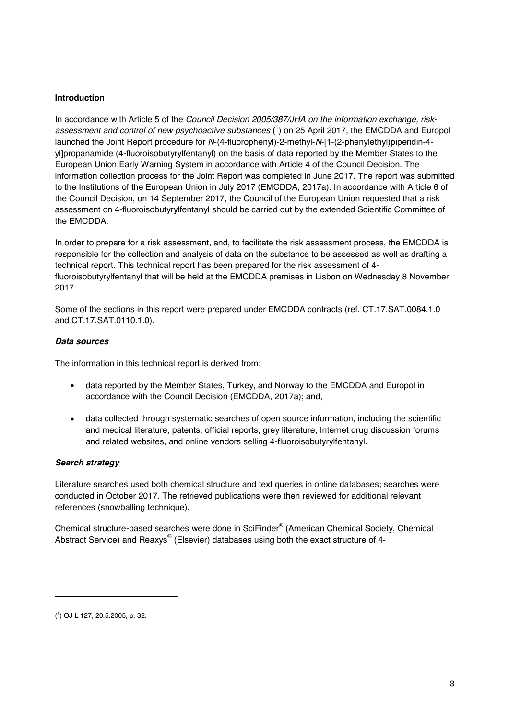## **Introduction**

In accordance with Article 5 of the *Council Decision 2005/387/JHA on the information exchange, risk*assessment and control of new psychoactive substances (<sup>1</sup>) on 25 April 2017, the EMCDDA and Europol launched the Joint Report procedure for *N*-(4-fluorophenyl)-2-methyl-*N*-[1-(2-phenylethyl)piperidin-4 yl]propanamide (4-fluoroisobutyrylfentanyl) on the basis of data reported by the Member States to the European Union Early Warning System in accordance with Article 4 of the Council Decision. The information collection process for the Joint Report was completed in June 2017. The report was submitted to the Institutions of the European Union in July 2017 (EMCDDA, 2017a). In accordance with Article 6 of the Council Decision, on 14 September 2017, the Council of the European Union requested that a risk assessment on 4-fluoroisobutyrylfentanyl should be carried out by the extended Scientific Committee of the EMCDDA.

In order to prepare for a risk assessment, and, to facilitate the risk assessment process, the EMCDDA is responsible for the collection and analysis of data on the substance to be assessed as well as drafting a technical report. This technical report has been prepared for the risk assessment of 4 fluoroisobutyrylfentanyl that will be held at the EMCDDA premises in Lisbon on Wednesday 8 November 2017.

Some of the sections in this report were prepared under EMCDDA contracts (ref. CT.17.SAT.0084.1.0 and CT.17.SAT.0110.1.0).

# *Data sources*

The information in this technical report is derived from:

- data reported by the Member States, Turkey, and Norway to the EMCDDA and Europol in accordance with the Council Decision (EMCDDA, 2017a); and,
- data collected through systematic searches of open source information, including the scientific and medical literature, patents, official reports, grey literature, Internet drug discussion forums and related websites, and online vendors selling 4-fluoroisobutyrylfentanyl.

# *Search strategy*

Literature searches used both chemical structure and text queries in online databases; searches were conducted in October 2017. The retrieved publications were then reviewed for additional relevant references (snowballing technique).

Chemical structure-based searches were done in SciFinder® (American Chemical Society, Chemical Abstract Service) and Reaxys® (Elsevier) databases using both the exact structure of 4-

-

<sup>(</sup> 1 ) OJ L 127, 20.5.2005, p. 32.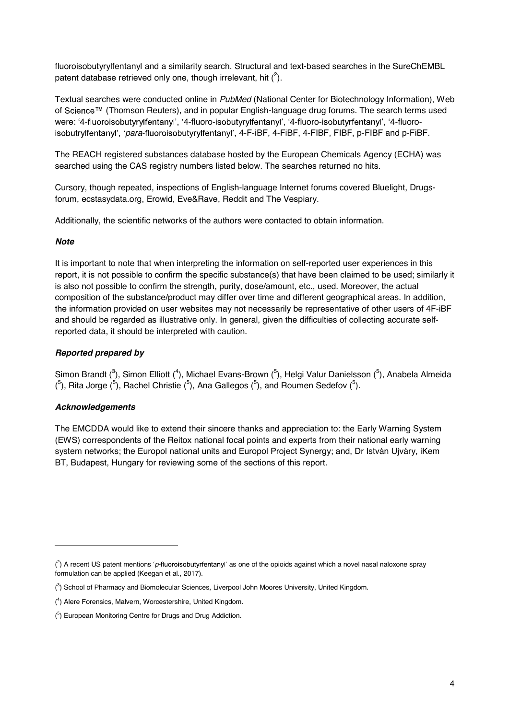fluoroisobutyrylfentanyl and a similarity search. Structural and text-based searches in the SureChEMBL patent database retrieved only one, though irrelevant, hit  $(^2)$ .

Textual searches were conducted online in *PubMed* (National Center for Biotechnology Information), Web of Science™ (Thomson Reuters), and in popular English-language drug forums. The search terms used were: '4-fluoroisobutyrylfentanyl', '4-fluoro-isobutyrylfentanyl', '4-fluoro-isobutyrfentanyl', '4-fluoroisobutrylfentanyl', '*para*-fluoroisobutyrylfentanyl', 4-F-iBF, 4-FiBF, 4-FIBF, FIBF, p-FIBF and p-FiBF.

The REACH registered substances database hosted by the European Chemicals Agency (ECHA) was searched using the CAS registry numbers listed below. The searches returned no hits.

Cursory, though repeated, inspections of English-language Internet forums covered Bluelight, Drugsforum, ecstasydata.org, Erowid, Eve&Rave, Reddit and The Vespiary.

Additionally, the scientific networks of the authors were contacted to obtain information.

# *Note*

It is important to note that when interpreting the information on self-reported user experiences in this report, it is not possible to confirm the specific substance(s) that have been claimed to be used; similarly it is also not possible to confirm the strength, purity, dose/amount, etc., used. Moreover, the actual composition of the substance/product may differ over time and different geographical areas. In addition, the information provided on user websites may not necessarily be representative of other users of 4F-iBF and should be regarded as illustrative only. In general, given the difficulties of collecting accurate selfreported data, it should be interpreted with caution.

# *Reported prepared by*

Simon Brandt (<sup>3</sup>), Simon Elliott (<sup>4</sup>), Michael Evans-Brown (<sup>5</sup>), Helgi Valur Danielsson (<sup>5</sup>), Anabela Almeida  $(5)$ , Rita Jorge  $(5)$ , Rachel Christie  $(5)$ , Ana Gallegos  $(5)$ , and Roumen Sedefov  $(5)$ .

# *Acknowledgements*

-

The EMCDDA would like to extend their sincere thanks and appreciation to: the Early Warning System (EWS) correspondents of the Reitox national focal points and experts from their national early warning system networks; the Europol national units and Europol Project Synergy; and, Dr István Ujváry, iKem BT, Budapest, Hungary for reviewing some of the sections of this report.

 $\binom{2}{1}$  A recent US patent mentions 'p-fluoroisobutyrfentanyl' as one of the opioids against which a novel nasal naloxone spray formulation can be applied (Keegan et al., 2017).

<sup>(&</sup>lt;sup>3</sup>) School of Pharmacy and Biomolecular Sciences, Liverpool John Moores University, United Kingdom.

<sup>(</sup> 4 ) Alere Forensics, Malvern, Worcestershire, United Kingdom.

<sup>(&</sup>lt;sup>5</sup>) European Monitoring Centre for Drugs and Drug Addiction.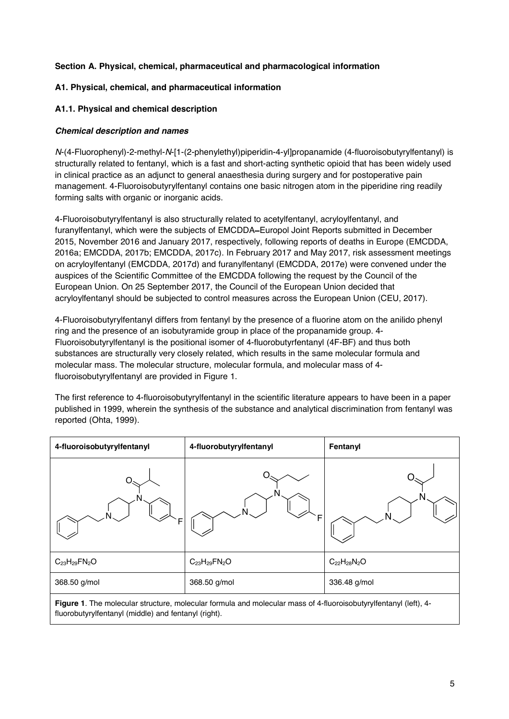# **Section A. Physical, chemical, pharmaceutical and pharmacological information**

## **A1. Physical, chemical, and pharmaceutical information**

## **A1.1. Physical and chemical description**

## *Chemical description and names*

*N*-(4-Fluorophenyl)-2-methyl-*N*-[1-(2-phenylethyl)piperidin-4-yl]propanamide (4-fluoroisobutyrylfentanyl) is structurally related to fentanyl, which is a fast and short-acting synthetic opioid that has been widely used in clinical practice as an adjunct to general anaesthesia during surgery and for postoperative pain management. 4-Fluoroisobutyrylfentanyl contains one basic nitrogen atom in the piperidine ring readily forming salts with organic or inorganic acids.

4-Fluoroisobutyrylfentanyl is also structurally related to acetylfentanyl, acryloylfentanyl, and furanylfentanyl, which were the subjects of EMCDDA-Europol Joint Reports submitted in December 2015, November 2016 and January 2017, respectively, following reports of deaths in Europe (EMCDDA, 2016a; EMCDDA, 2017b; EMCDDA, 2017c). In February 2017 and May 2017, risk assessment meetings on acryloylfentanyl (EMCDDA, 2017d) and furanylfentanyl (EMCDDA, 2017e) were convened under the auspices of the Scientific Committee of the EMCDDA following the request by the Council of the European Union. On 25 September 2017, the Council of the European Union decided that acryloylfentanyl should be subjected to control measures across the European Union (CEU, 2017).

4-Fluoroisobutyrylfentanyl differs from fentanyl by the presence of a fluorine atom on the anilido phenyl ring and the presence of an isobutyramide group in place of the propanamide group. 4- Fluoroisobutyrylfentanyl is the positional isomer of 4-fluorobutyrfentanyl (4F-BF) and thus both substances are structurally very closely related, which results in the same molecular formula and molecular mass. The molecular structure, molecular formula, and molecular mass of 4 fluoroisobutyrylfentanyl are provided in Figure 1.

The first reference to 4-fluoroisobutyrylfentanyl in the scientific literature appears to have been in a paper published in 1999, wherein the synthesis of the substance and analytical discrimination from fentanyl was reported (Ohta, 1999).

| 4-fluoroisobutyrylfentanyl | 4-fluorobutyrylfentanyl        | Fentanyl           |
|----------------------------|--------------------------------|--------------------|
| F                          | F                              |                    |
| $C_{23}H_{29}FN_{2}O$      | $C_{23}H_{29}FN_{2}O$          | $C_{22}H_{28}N_2O$ |
| 368.50 g/mol               | 368.50 g/mol                   | 336.48 g/mol       |
| . -<br>$\sim$              | .<br>.<br>$\sim$ $\sim$ $\sim$ | .<br>$\cdots$      |

**Figure 1**. The molecular structure, molecular formula and molecular mass of 4-fluoroisobutyrylfentanyl (left), 4 fluorobutyrylfentanyl (middle) and fentanyl (right).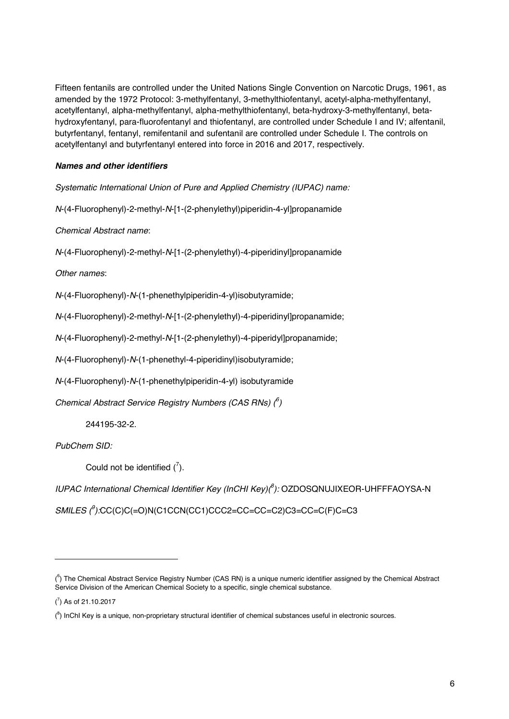Fifteen fentanils are controlled under the United Nations Single Convention on Narcotic Drugs, 1961, as amended by the 1972 Protocol: 3-methylfentanyl, 3-methylthiofentanyl, acetyl-alpha-methylfentanyl, acetylfentanyl, alpha-methylfentanyl, alpha-methylthiofentanyl, beta-hydroxy-3-methylfentanyl, betahydroxyfentanyl, para-fluorofentanyl and thiofentanyl, are controlled under Schedule I and IV; alfentanil, butyrfentanyl, fentanyl, remifentanil and sufentanil are controlled under Schedule I. The controls on acetylfentanyl and butyrfentanyl entered into force in 2016 and 2017, respectively.

# *Names and other identifiers*

*Systematic International Union of Pure and Applied Chemistry (IUPAC) name:* 

*N*-(4-Fluorophenyl)-2-methyl-*N*-[1-(2-phenylethyl)piperidin-4-yl]propanamide

*Chemical Abstract name*:

*N*-(4-Fluorophenyl)-2-methyl-*N*-[1-(2-phenylethyl)-4-piperidinyl]propanamide

*Other names*:

*N*-(4-Fluorophenyl)-*N*-(1-phenethylpiperidin-4-yl)isobutyramide;

*N*-(4-Fluorophenyl)-2-methyl-*N*-[1-(2-phenylethyl)-4-piperidinyl]propanamide;

*N*-(4-Fluorophenyl)-2-methyl-*N*-[1-(2-phenylethyl)-4-piperidyl]propanamide;

*N*-(4-Fluorophenyl)-*N*-(1-phenethyl-4-piperidinyl)isobutyramide;

*N*-(4-Fluorophenyl)-*N*-(1-phenethylpiperidin-4-yl) isobutyramide

*Chemical Abstract Service Registry Numbers (CAS RNs) (<sup>6</sup> )* 

244195-32-2.

*PubChem SID:*

Could not be identified  $\binom{7}{1}$ .

IUPAC International Chemical Identifier Key (InCHI Key)(<sup>8</sup>): OZDOSQNUJIXEOR-UHFFFAOYSA-N

*SMILES (<sup>9</sup> ):*CC(C)C(=O)N(C1CCN(CC1)CCC2=CC=CC=C2)C3=CC=C(F)C=C3

-

 $($ <sup>6</sup>) The Chemical Abstract Service Registry Number (CAS RN) is a unique numeric identifier assigned by the Chemical Abstract Service Division of the American Chemical Society to a specific, single chemical substance.

 $(7)$  As of 21.10.2017

 $(8)$  InChI Key is a unique, non-proprietary structural identifier of chemical substances useful in electronic sources.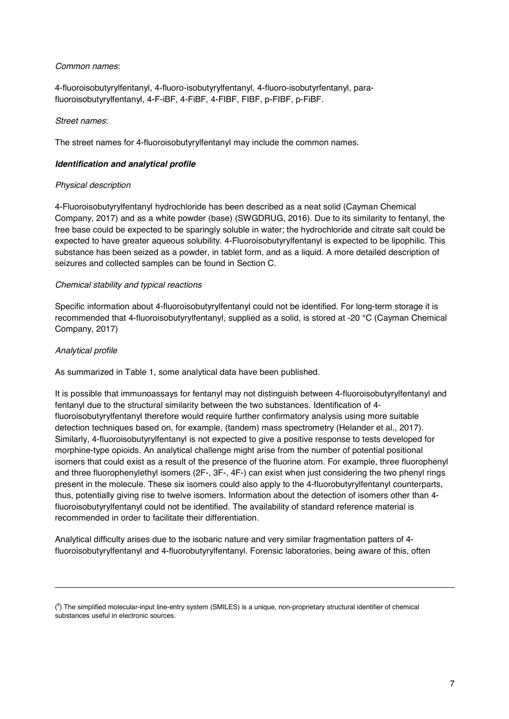## *Common names*:

4-fluoroisobutyrylfentanyl, 4-fluoro-isobutyrylfentanyl, 4-fluoro-isobutyrfentanyl, parafluoroisobutyrylfentanyl, 4-F-iBF, 4-FiBF, 4-FIBF, FIBF, p-FIBF, p-FiBF.

## *Street names*:

The street names for 4-fluoroisobutyrylfentanyl may include the common names.

# *Identification and analytical profile*

# *Physical description*

4-Fluoroisobutyrylfentanyl hydrochloride has been described as a neat solid (Cayman Chemical Company, 2017) and as a white powder (base) (SWGDRUG, 2016). Due to its similarity to fentanyl, the free base could be expected to be sparingly soluble in water; the hydrochloride and citrate salt could be expected to have greater aqueous solubility. 4-Fluoroisobutyrylfentanyl is expected to be lipophilic. This substance has been seized as a powder, in tablet form, and as a liquid. A more detailed description of seizures and collected samples can be found in Section C.

# *Chemical stability and typical reactions*

Specific information about 4-fluoroisobutyrylfentanyl could not be identified. For long-term storage it is recommended that 4-fluoroisobutyrylfentanyl, supplied as a solid, is stored at -20 °C (Cayman Chemical Company, 2017)

# *Analytical profile*

-

As summarized in Table 1, some analytical data have been published.

It is possible that immunoassays for fentanyl may not distinguish between 4-fluoroisobutyrylfentanyl and fentanyl due to the structural similarity between the two substances. Identification of 4 fluoroisobutyrylfentanyl therefore would require further confirmatory analysis using more suitable detection techniques based on, for example, (tandem) mass spectrometry (Helander et al., 2017). Similarly, 4-fluoroisobutyrylfentanyl is not expected to give a positive response to tests developed for morphine-type opioids. An analytical challenge might arise from the number of potential positional isomers that could exist as a result of the presence of the fluorine atom. For example, three fluorophenyl and three fluorophenylethyl isomers (2F-, 3F-, 4F-) can exist when just considering the two phenyl rings present in the molecule. These six isomers could also apply to the 4-fluorobutyrylfentanyl counterparts, thus, potentially giving rise to twelve isomers. Information about the detection of isomers other than 4 fluoroisobutyrylfentanyl could not be identified. The availability of standard reference material is recommended in order to facilitate their differentiation.

Analytical difficulty arises due to the isobaric nature and very similar fragmentation patters of 4 fluoroisobutyrylfentanyl and 4-fluorobutyrylfentanyl. Forensic laboratories, being aware of this, often

<sup>(&</sup>lt;sup>9</sup>) The simplified molecular-input line-entry system (SMILES) is a unique, non-proprietary structural identifier of chemical substances useful in electronic sources.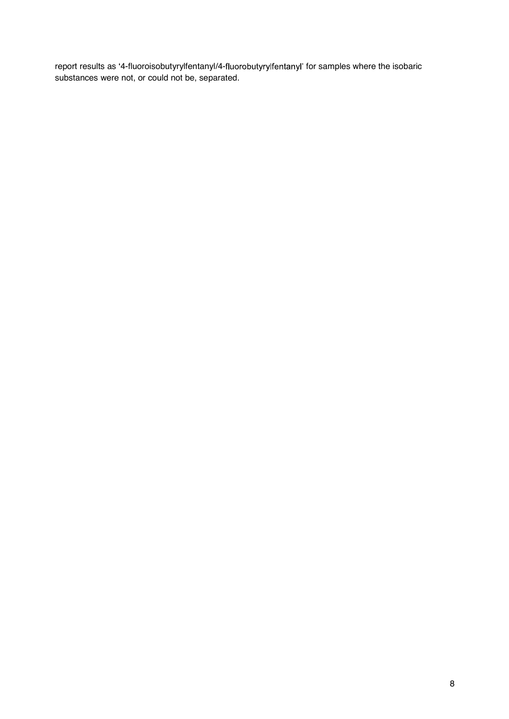report results as '4-fluoroisobutyrylfentanyl/4-fluorobutyrylfentanyl' for samples where the isobaric substances were not, or could not be, separated.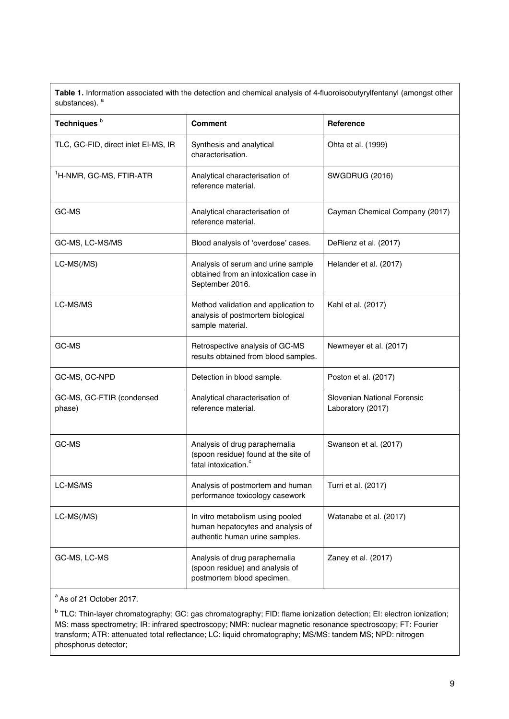**Table 1.** Information associated with the detection and chemical analysis of 4-fluoroisobutyrylfentanyl (amongst other substances). <sup>a</sup>

| Techniques <sup>b</sup>             | <b>Comment</b>                                                                                             | Reference                                        |  |
|-------------------------------------|------------------------------------------------------------------------------------------------------------|--------------------------------------------------|--|
| TLC, GC-FID, direct inlet EI-MS, IR | Synthesis and analytical<br>characterisation.                                                              | Ohta et al. (1999)                               |  |
| <sup>1</sup> H-NMR, GC-MS, FTIR-ATR | Analytical characterisation of<br>reference material.                                                      | <b>SWGDRUG (2016)</b>                            |  |
| GC-MS                               | Analytical characterisation of<br>reference material.                                                      | Cayman Chemical Company (2017)                   |  |
| GC-MS, LC-MS/MS                     | Blood analysis of 'overdose' cases.                                                                        | DeRienz et al. (2017)                            |  |
| LC-MS(/MS)                          | Analysis of serum and urine sample<br>obtained from an intoxication case in<br>September 2016.             | Helander et al. (2017)                           |  |
| LC-MS/MS                            | Method validation and application to<br>analysis of postmortem biological<br>sample material.              | Kahl et al. (2017)                               |  |
| GC-MS                               | Retrospective analysis of GC-MS<br>results obtained from blood samples.                                    | Newmeyer et al. (2017)                           |  |
| GC-MS, GC-NPD                       | Detection in blood sample.                                                                                 | Poston et al. (2017)                             |  |
| GC-MS, GC-FTIR (condensed<br>phase) | Analytical characterisation of<br>reference material.                                                      | Slovenian National Forensic<br>Laboratory (2017) |  |
| GC-MS                               | Analysis of drug paraphernalia<br>(spoon residue) found at the site of<br>fatal intoxication. <sup>c</sup> | Swanson et al. (2017)                            |  |
| LC-MS/MS                            | Analysis of postmortem and human<br>performance toxicology casework                                        | Turri et al. (2017)                              |  |
| LC-MS(/MS)                          | In vitro metabolism using pooled<br>human hepatocytes and analysis of<br>authentic human urine samples.    | Watanabe et al. (2017)                           |  |
| GC-MS, LC-MS                        | Analysis of drug paraphernalia<br>(spoon residue) and analysis of<br>postmortem blood specimen.            | Zaney et al. (2017)                              |  |
|                                     |                                                                                                            |                                                  |  |

<sup>a</sup> As of 21 October 2017.

<sup>b</sup> TLC: Thin-layer chromatography; GC: gas chromatography; FID: flame ionization detection; EI: electron ionization; MS: mass spectrometry; IR: infrared spectroscopy; NMR: nuclear magnetic resonance spectroscopy; FT: Fourier transform; ATR: attenuated total reflectance; LC: liquid chromatography; MS/MS: tandem MS; NPD: nitrogen phosphorus detector;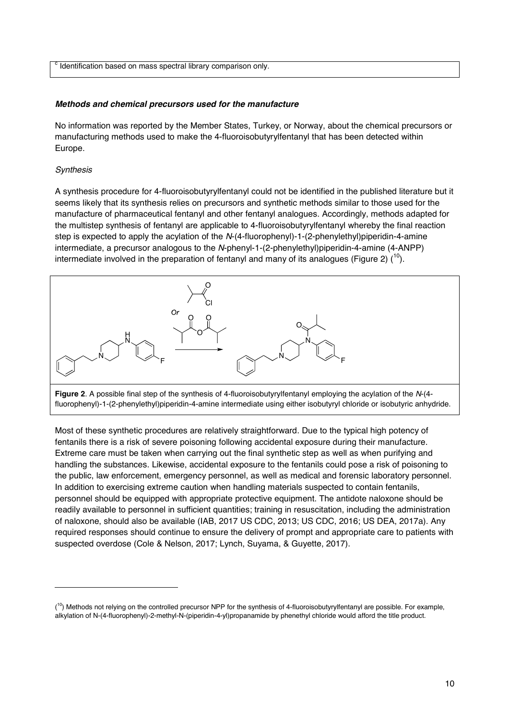c Identification based on mass spectral library comparison only.

#### *Methods and chemical precursors used for the manufacture*

No information was reported by the Member States, Turkey, or Norway, about the chemical precursors or manufacturing methods used to make the 4-fluoroisobutyrylfentanyl that has been detected within Europe.

## *Synthesis*

-

A synthesis procedure for 4-fluoroisobutyrylfentanyl could not be identified in the published literature but it seems likely that its synthesis relies on precursors and synthetic methods similar to those used for the manufacture of pharmaceutical fentanyl and other fentanyl analogues. Accordingly, methods adapted for the multistep synthesis of fentanyl are applicable to 4-fluoroisobutyrylfentanyl whereby the final reaction step is expected to apply the acylation of the *N*-(4-fluorophenyl)-1-(2-phenylethyl)piperidin-4-amine intermediate, a precursor analogous to the *N*-phenyl-1-(2-phenylethyl)piperidin-4-amine (4-ANPP) intermediate involved in the preparation of fentanyl and many of its analogues (Figure 2)  $(1^0)$ .



**Figure 2**. A possible final step of the synthesis of 4-fluoroisobutyrylfentanyl employing the acylation of the *N*-(4 fluorophenyl)-1-(2-phenylethyl)piperidin-4-amine intermediate using either isobutyryl chloride or isobutyric anhydride.

Most of these synthetic procedures are relatively straightforward. Due to the typical high potency of fentanils there is a risk of severe poisoning following accidental exposure during their manufacture. Extreme care must be taken when carrying out the final synthetic step as well as when purifying and handling the substances. Likewise, accidental exposure to the fentanils could pose a risk of poisoning to the public, law enforcement, emergency personnel, as well as medical and forensic laboratory personnel. In addition to exercising extreme caution when handling materials suspected to contain fentanils, personnel should be equipped with appropriate protective equipment. The antidote naloxone should be readily available to personnel in sufficient quantities; training in resuscitation, including the administration of naloxone, should also be available (IAB, 2017 US CDC, 2013; US CDC, 2016; US DEA, 2017a). Any required responses should continue to ensure the delivery of prompt and appropriate care to patients with suspected overdose (Cole & Nelson, 2017; Lynch, Suyama, & Guyette, 2017).

<sup>(&</sup>lt;sup>10</sup>) Methods not relying on the controlled precursor NPP for the synthesis of 4-fluoroisobutyrylfentanyl are possible. For example, alkylation of N-(4-fluorophenyl)-2-methyl-N-(piperidin-4-yl)propanamide by phenethyl chloride would afford the title product.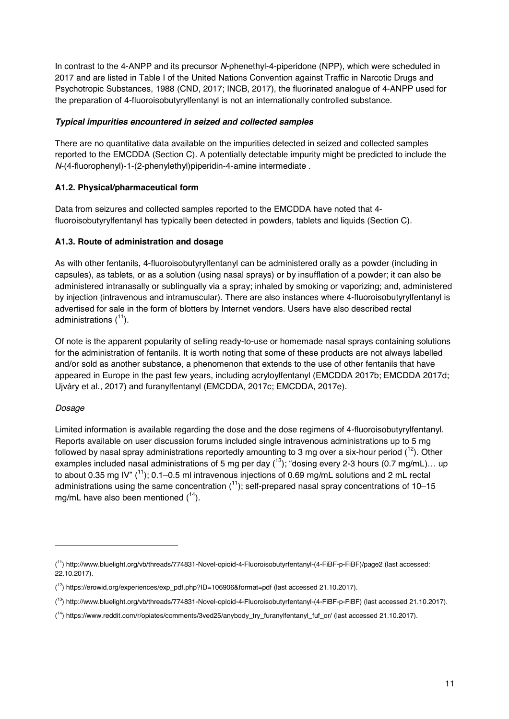In contrast to the 4-ANPP and its precursor *N*-phenethyl-4-piperidone (NPP), which were scheduled in 2017 and are listed in Table I of the United Nations Convention against Traffic in Narcotic Drugs and Psychotropic Substances, 1988 (CND, 2017; INCB, 2017), the fluorinated analogue of 4-ANPP used for the preparation of 4-fluoroisobutyrylfentanyl is not an internationally controlled substance.

# *Typical impurities encountered in seized and collected samples*

There are no quantitative data available on the impurities detected in seized and collected samples reported to the EMCDDA (Section C). A potentially detectable impurity might be predicted to include the *N*-(4-fluorophenyl)-1-(2-phenylethyl)piperidin-4-amine intermediate .

# **A1.2. Physical/pharmaceutical form**

Data from seizures and collected samples reported to the EMCDDA have noted that 4 fluoroisobutyrylfentanyl has typically been detected in powders, tablets and liquids (Section C).

# **A1.3. Route of administration and dosage**

As with other fentanils, 4-fluoroisobutyrylfentanyl can be administered orally as a powder (including in capsules), as tablets, or as a solution (using nasal sprays) or by insufflation of a powder; it can also be administered intranasally or sublingually via a spray; inhaled by smoking or vaporizing; and, administered by injection (intravenous and intramuscular). There are also instances where 4-fluoroisobutyrylfentanyl is advertised for sale in the form of blotters by Internet vendors. Users have also described rectal administrations  $(^{11})$ .

Of note is the apparent popularity of selling ready-to-use or homemade nasal sprays containing solutions for the administration of fentanils. It is worth noting that some of these products are not always labelled and/or sold as another substance, a phenomenon that extends to the use of other fentanils that have appeared in Europe in the past few years, including acryloylfentanyl (EMCDDA 2017b; EMCDDA 2017d; Ujváry et al., 2017) and furanylfentanyl (EMCDDA, 2017c; EMCDDA, 2017e).

## *Dosage*

-

Limited information is available regarding the dose and the dose regimens of 4-fluoroisobutyrylfentanyl. Reports available on user discussion forums included single intravenous administrations up to 5 mg followed by nasal spray administrations reportedly amounting to 3 mg over a six-hour period  $\binom{12}{1}$ . Other examples included nasal administrations of 5 mg per day  $(^{13})$ ; "dosing every 2-3 hours (0.7 mg/mL)... up to about 0.35 mg IV"  $(1)$ ; 0.1–0.5 ml intravenous injections of 0.69 mg/mL solutions and 2 mL rectal administrations using the same concentration  $\binom{11}{1}$ ; self-prepared nasal spray concentrations of 10–15 mg/mL have also been mentioned  $(^{14})$ .

<sup>(</sup> 11) http://www.bluelight.org/vb/threads/774831-Novel-opioid-4-Fluoroisobutyrfentanyl-(4-FiBF-p-FiBF)/page2 (last accessed: 22.10.2017).

<sup>(</sup> 12) https://erowid.org/experiences/exp\_pdf.php?ID=106906&format=pdf (last accessed 21.10.2017).

<sup>(</sup> 13) http://www.bluelight.org/vb/threads/774831-Novel-opioid-4-Fluoroisobutyrfentanyl-(4-FiBF-p-FiBF) (last accessed 21.10.2017).

<sup>&</sup>lt;sup>14</sup>) https://www.reddit.com/r/opiates/comments/3ved25/anybody\_try\_furanylfentanyl\_fuf\_or/ (last accessed 21.10.2017).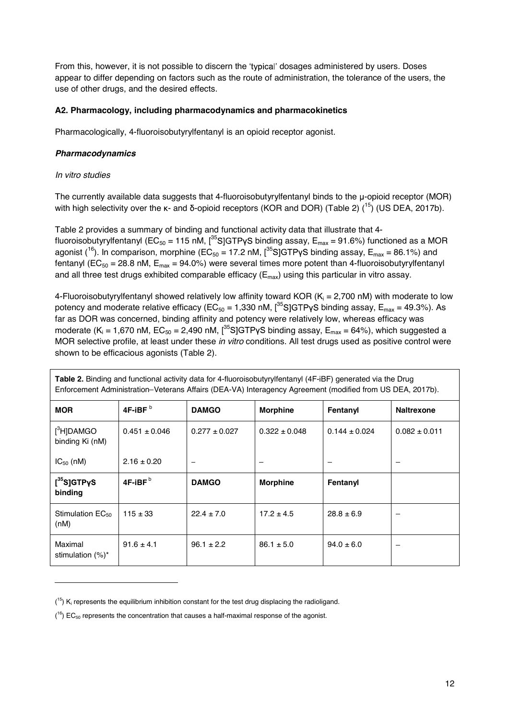From this, however, it is not possible to discern the 'typical' dosages administered by users. Doses appear to differ depending on factors such as the route of administration, the tolerance of the users, the use of other drugs, and the desired effects.

## **A2. Pharmacology, including pharmacodynamics and pharmacokinetics**

Pharmacologically, 4-fluoroisobutyrylfentanyl is an opioid receptor agonist.

## *Pharmacodynamics*

## *In vitro studies*

-

The currently available data suggests that 4-fluoroisobutyrylfentanyl binds to the  $\mu$ -opioid receptor (MOR) with high selectivity over the  $\kappa$ - and  $\delta$ -opioid receptors (KOR and DOR) (Table 2) (<sup>15</sup>) (US DEA, 2017b).

Table 2 provides a summary of binding and functional activity data that illustrate that 4 fluoroisobutyrylfentanyl (EC<sub>50</sub> = 115 nM, [<sup>35</sup>S]GTPyS binding assay, E<sub>max</sub> = 91.6%) functioned as a MOR agonist (<sup>16</sup>). In comparison, morphine (EC<sub>50</sub> = 17.2 nM, [<sup>35</sup>S]GTPyS binding assay, E<sub>max</sub> = 86.1%) and fentanyl ( $EC_{50}$  = 28.8 nM,  $E_{max}$  = 94.0%) were several times more potent than 4-fluoroisobutyrylfentanyl and all three test drugs exhibited comparable efficacy ( $E_{\text{max}}$ ) using this particular in vitro assay.

4-Fluoroisobutyrylfentanyl showed relatively low affinity toward KOR ( $K_i = 2,700$  nM) with moderate to low potency and moderate relative efficacy ( $EC_{50} = 1,330$  nM,  $[^{35}S]GTPYS$  binding assay,  $E_{max} = 49.3\%$ ). As far as DOR was concerned, binding affinity and potency were relatively low, whereas efficacy was moderate ( $K_i = 1,670$  nM,  $EC_{50} = 2,490$  nM,  $[{}^{35}S]GTP\gamma S$  binding assay,  $E_{max} = 64\%$ ), which suggested a MOR selective profile, at least under these *in vitro* conditions. All test drugs used as positive control were shown to be efficacious agonists (Table 2).

| <b>Table 2.</b> Binding and functional activity data for 4-fluoroisobutyrylfentanyl (4F-iBF) generated via the Drug<br>Enforcement Administration–Veterans Affairs (DEA-VA) Interagency Agreement (modified from US DEA, 2017b). |                   |                   |                   |                   |                   |
|----------------------------------------------------------------------------------------------------------------------------------------------------------------------------------------------------------------------------------|-------------------|-------------------|-------------------|-------------------|-------------------|
| <b>MOR</b>                                                                                                                                                                                                                       | 4F-iBF $^{\rm b}$ | <b>DAMGO</b>      | <b>Morphine</b>   | Fentanyl          | <b>Naltrexone</b> |
| $\int^3 H$ ]DAMGO<br>binding Ki (nM)                                                                                                                                                                                             | $0.451 \pm 0.046$ | $0.277 \pm 0.027$ | $0.322 \pm 0.048$ | $0.144 \pm 0.024$ | $0.082 \pm 0.011$ |
| $IC_{50}$ (nM)                                                                                                                                                                                                                   | $2.16 \pm 0.20$   |                   |                   |                   |                   |
| $[^{35}S]$ GTPyS<br>binding                                                                                                                                                                                                      | 4F-iBF $^{\rm b}$ | <b>DAMGO</b>      | <b>Morphine</b>   | Fentanyl          |                   |
| Stimulation $EC_{50}$<br>(nM)                                                                                                                                                                                                    | $115 \pm 33$      | $22.4 \pm 7.0$    | $17.2 \pm 4.5$    | $28.8 \pm 6.9$    |                   |
| Maximal<br>stimulation $(\%)^*$                                                                                                                                                                                                  | $91.6 \pm 4.1$    | $96.1 \pm 2.2$    | $86.1 \pm 5.0$    | $94.0 \pm 6.0$    |                   |

 $(15)$  K<sub>i</sub> represents the equilibrium inhibition constant for the test drug displacing the radioligand.

 $(16)$  EC<sub>50</sub> represents the concentration that causes a half-maximal response of the agonist.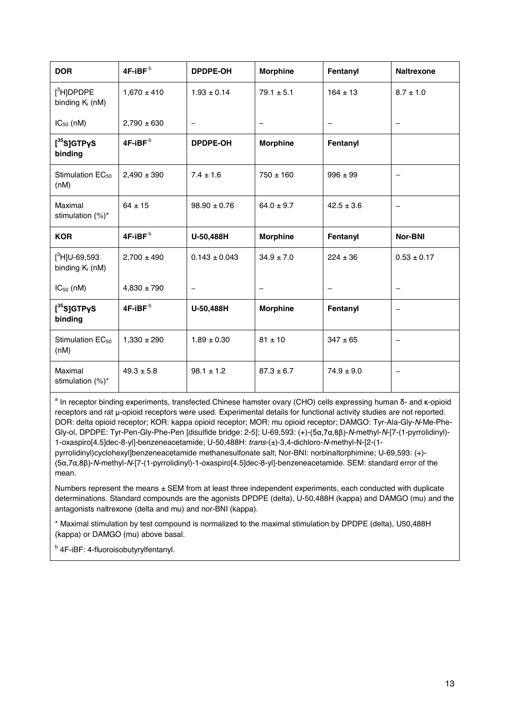| <b>DOR</b>                                        | 4F-iBF <sup>b</sup> | <b>DPDPE-OH</b>   | <b>Morphine</b>          | Fentanyl       | <b>Naltrexone</b>        |
|---------------------------------------------------|---------------------|-------------------|--------------------------|----------------|--------------------------|
| $\int$ <sup>3</sup> H]DPDPE<br>binding $K_i$ (nM) | $1,670 \pm 410$     | $1.93 \pm 0.14$   | $79.1 \pm 5.1$           | $164 \pm 13$   | $8.7 \pm 1.0$            |
| $IC_{50}$ (nM)                                    | $2,790 \pm 630$     |                   |                          |                |                          |
| $[^{35}S]$ GTPyS<br>binding                       | 4F-iBF <sup>b</sup> | DPDPE-OH          | <b>Morphine</b>          | Fentanyl       |                          |
| Stimulation EC <sub>50</sub><br>(nM)              | $2,490 \pm 390$     | $7.4 \pm 1.6$     | $750 \pm 160$            | $996 \pm 99$   |                          |
| Maximal<br>stimulation $(\%)^*$                   | $64 \pm 15$         | $98.90 \pm 0.76$  | $64.0 \pm 9.7$           | $42.5 \pm 3.6$ | $\overline{\phantom{0}}$ |
| <b>KOR</b>                                        | 4F-iBF $b$          | U-50,488H         | <b>Morphine</b>          | Fentanyl       | <b>Nor-BNI</b>           |
| $[^3$ H]U-69,593<br>binding $K_i$ (nM)            | $2,700 \pm 490$     | $0.143 \pm 0.043$ | $34.9 \pm 7.0$           | $224 \pm 36$   | $0.53 \pm 0.17$          |
| $IC_{50}$ (nM)                                    | $4,830 \pm 790$     |                   | $\overline{\phantom{0}}$ |                |                          |
| $[^{35}S]$ GTPyS                                  |                     |                   |                          |                |                          |
| binding                                           | 4F-iBF <sup>b</sup> | U-50,488H         | <b>Morphine</b>          | Fentanyl       | —                        |
| Stimulation EC <sub>50</sub><br>(nM)              | $1,330 \pm 290$     | $1.89 \pm 0.30$   | $81 \pm 10$              | $347 \pm 65$   | $\overline{\phantom{0}}$ |

<sup>a</sup> In receptor binding experiments, transfected Chinese hamster ovary (CHO) cells expressing human δ- and κ-opioid receptors and rat u-opioid receptors were used. Experimental details for functional activity studies are not reported. DOR: delta opioid receptor; KOR: kappa opioid receptor; MOR: mu opioid receptor; DAMGO: Tyr-Ala-Gly-*N*-Me-Phe-Gly-ol, DPDPE: Tyr-Pen-Gly-Phe-Pen [disulfide bridge: 2-5]; U-69,593: (+)-(5a,7a,8β)-N-methyl-N-[7-(1-pyrrolidinyl)-1-oxaspiro[4.5]dec-8-yl]-benzeneacetamide; U-50,488H: *trans*-(±)-3,4-dichloro-*N*-methyl-N-[2-(1 pyrrolidinyl)cyclohexyl]benzeneacetamide methanesulfonate salt; Nor-BNI: norbinaltorphimine; U-69,593: (+)-

-*N*-methyl-*N*-[7-(1-pyrrolidinyl)-1-oxaspiro[4.5]dec-8-yl]-benzeneacetamide. SEM: standard error of the mean.

Numbers represent the means ± SEM from at least three independent experiments, each conducted with duplicate determinations. Standard compounds are the agonists DPDPE (delta), U-50,488H (kappa) and DAMGO (mu) and the antagonists naltrexone (delta and mu) and nor-BNI (kappa).

\* Maximal stimulation by test compound is normalized to the maximal stimulation by DPDPE (delta), U50,488H (kappa) or DAMGO (mu) above basal.

<sup>b</sup> 4F-iBF: 4-fluoroisobutyrylfentanyl.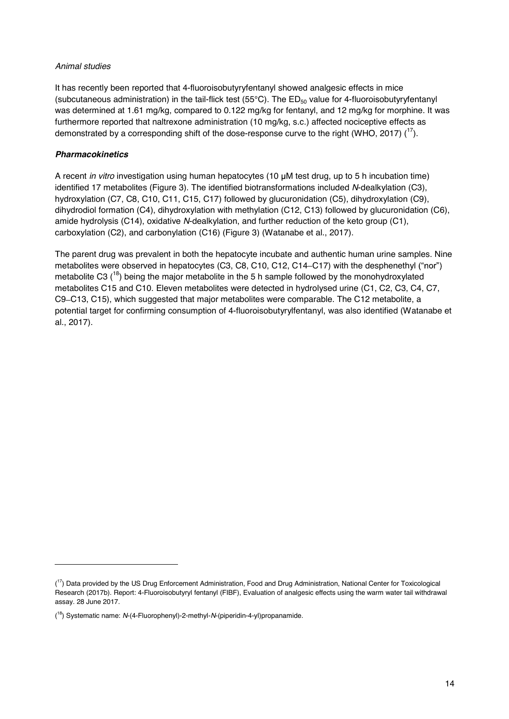## *Animal studies*

It has recently been reported that 4-fluoroisobutyryfentanyl showed analgesic effects in mice (subcutaneous administration) in the tail-flick test (55 $^{\circ}$ C). The ED<sub>50</sub> value for 4-fluoroisobutyryfentanyl was determined at 1.61 mg/kg, compared to 0.122 mg/kg for fentanyl, and 12 mg/kg for morphine. It was furthermore reported that naltrexone administration (10 mg/kg, s.c.) affected nociceptive effects as demonstrated by a corresponding shift of the dose-response curve to the right (WHO, 2017)  $(^{17})$ .

#### *Pharmacokinetics*

-

A recent *in vitro* investigation using human hepatocytes (10 µM test drug, up to 5 h incubation time) identified 17 metabolites (Figure 3). The identified biotransformations included *N*-dealkylation (C3), hydroxylation (C7, C8, C10, C11, C15, C17) followed by glucuronidation (C5), dihydroxylation (C9), dihydrodiol formation (C4), dihydroxylation with methylation (C12, C13) followed by glucuronidation (C6), amide hydrolysis (C14), oxidative *N*-dealkylation, and further reduction of the keto group (C1), carboxylation (C2), and carbonylation (C16) (Figure 3) (Watanabe et al., 2017).

The parent drug was prevalent in both the hepatocyte incubate and authentic human urine samples. Nine metabolites were observed in hepatocytes (C3, C8, C10, C12, C14-C17) with the desphenethyl ("nor") metabolite C3  $(18)$  being the major metabolite in the 5 h sample followed by the monohydroxylated metabolites C15 and C10. Eleven metabolites were detected in hydrolysed urine (C1, C2, C3, C4, C7, C9 C13, C15), which suggested that major metabolites were comparable. The C12 metabolite, a potential target for confirming consumption of 4-fluoroisobutyrylfentanyl, was also identified (Watanabe et al., 2017).

<sup>&</sup>lt;sup>17</sup>) Data provided by the US Drug Enforcement Administration, Food and Drug Administration, National Center for Toxicological Research (2017b). Report: 4-Fluoroisobutyryl fentanyl (FIBF), Evaluation of analgesic effects using the warm water tail withdrawal assay. 28 June 2017.

<sup>(</sup> 18) Systematic name: *N*-(4-Fluorophenyl)-2-methyl-*N*-(piperidin-4-yl)propanamide.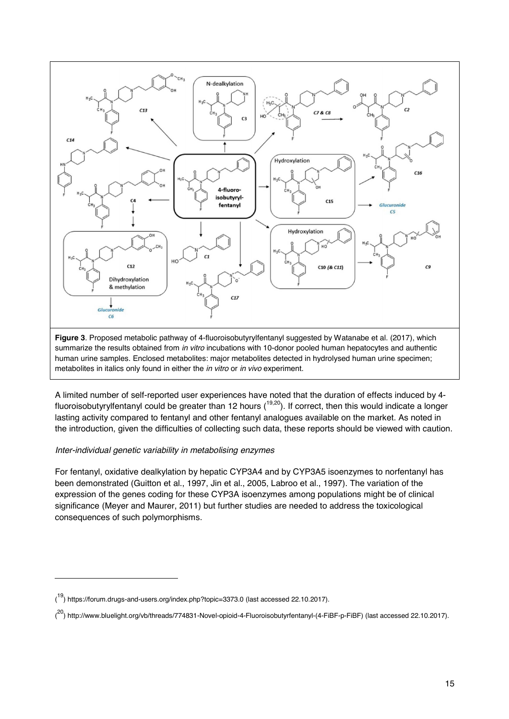

human urine samples. Enclosed metabolites: major metabolites detected in hydrolysed human urine specimen; metabolites in italics only found in either the *in vitro* or *in vivo* experiment.

A limited number of self-reported user experiences have noted that the duration of effects induced by 4 fluoroisobutyrylfentanyl could be greater than 12 hours  $(19,20)$ . If correct, then this would indicate a longer lasting activity compared to fentanyl and other fentanyl analogues available on the market. As noted in the introduction, given the difficulties of collecting such data, these reports should be viewed with caution.

## *Inter-individual genetic variability in metabolising enzymes*

j

For fentanyl, oxidative dealkylation by hepatic CYP3A4 and by CYP3A5 isoenzymes to norfentanyl has been demonstrated (Guitton et al., 1997, Jin et al., 2005, Labroo et al., 1997). The variation of the expression of the genes coding for these CYP3A isoenzymes among populations might be of clinical significance (Meyer and Maurer, 2011) but further studies are needed to address the toxicological consequences of such polymorphisms.

<sup>(&</sup>lt;sup>19</sup>) https://forum.drugs-and-users.org/index.php?topic=3373.0 (last accessed 22.10.2017).

<sup>(&</sup>lt;sup>20</sup>) http://www.bluelight.org/vb/threads/774831-Novel-opioid-4-Fluoroisobutyrfentanyl-(4-FiBF-p-FiBF) (last accessed 22.10.2017).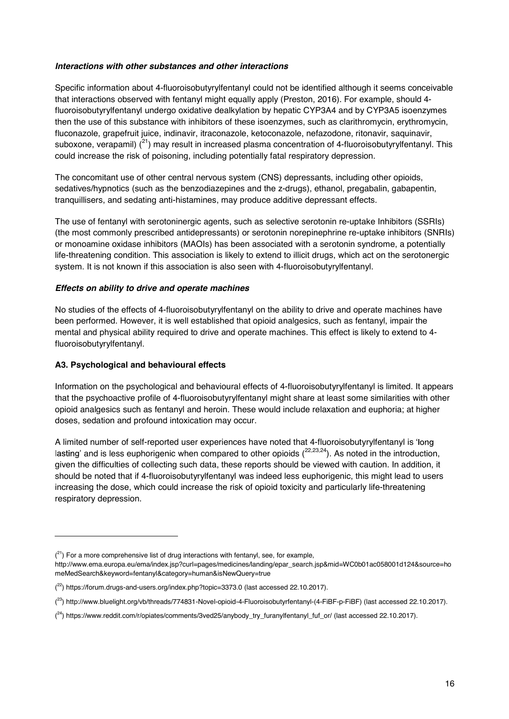## *Interactions with other substances and other interactions*

Specific information about 4-fluoroisobutyrylfentanyl could not be identified although it seems conceivable that interactions observed with fentanyl might equally apply (Preston, 2016). For example, should 4 fluoroisobutyrylfentanyl undergo oxidative dealkylation by hepatic CYP3A4 and by CYP3A5 isoenzymes then the use of this substance with inhibitors of these isoenzymes, such as clarithromycin, erythromycin, fluconazole, grapefruit juice, indinavir, itraconazole, ketoconazole, nefazodone, ritonavir, saquinavir, suboxone, verapamil)  $(^{21})$  may result in increased plasma concentration of 4-fluoroisobutyrylfentanyl. This could increase the risk of poisoning, including potentially fatal respiratory depression.

The concomitant use of other central nervous system (CNS) depressants, including other opioids, sedatives/hypnotics (such as the benzodiazepines and the z-drugs), ethanol, pregabalin, gabapentin, tranquillisers, and sedating anti-histamines, may produce additive depressant effects.

The use of fentanyl with serotoninergic agents, such as selective serotonin re-uptake Inhibitors (SSRIs) (the most commonly prescribed antidepressants) or serotonin norepinephrine re-uptake inhibitors (SNRIs) or monoamine oxidase inhibitors (MAOIs) has been associated with a serotonin syndrome, a potentially life-threatening condition. This association is likely to extend to illicit drugs, which act on the serotonergic system. It is not known if this association is also seen with 4-fluoroisobutyrylfentanyl.

# *Effects on ability to drive and operate machines*

No studies of the effects of 4-fluoroisobutyrylfentanyl on the ability to drive and operate machines have been performed. However, it is well established that opioid analgesics, such as fentanyl, impair the mental and physical ability required to drive and operate machines. This effect is likely to extend to 4 fluoroisobutyrylfentanyl.

# **A3. Psychological and behavioural effects**

-

Information on the psychological and behavioural effects of 4-fluoroisobutyrylfentanyl is limited. It appears that the psychoactive profile of 4-fluoroisobutyrylfentanyl might share at least some similarities with other opioid analgesics such as fentanyl and heroin. These would include relaxation and euphoria; at higher doses, sedation and profound intoxication may occur.

A limited number of self-reported user experiences have noted that 4-fluoroisobutyrylfentanyl is 'long lasting' and is less euphorigenic when compared to other opioids  $(^{22,23,24})$ . As noted in the introduction, given the difficulties of collecting such data, these reports should be viewed with caution. In addition, it should be noted that if 4-fluoroisobutyrylfentanyl was indeed less euphorigenic, this might lead to users increasing the dose, which could increase the risk of opioid toxicity and particularly life-threatening respiratory depression.

 $(2<sup>1</sup>)$  For a more comprehensive list of drug interactions with fentanyl, see, for example,

http://www.ema.europa.eu/ema/index.jsp?curl=pages/medicines/landing/epar\_search.jsp&mid=WC0b01ac058001d124&source=ho meMedSearch&keyword=fentanyl&category=human&isNewQuery=true

<sup>(&</sup>lt;sup>22</sup>) https://forum.drugs-and-users.org/index.php?topic=3373.0 (last accessed 22.10.2017).

<sup>(</sup> 23) http://www.bluelight.org/vb/threads/774831-Novel-opioid-4-Fluoroisobutyrfentanyl-(4-FiBF-p-FiBF) (last accessed 22.10.2017).

<sup>&</sup>lt;sup>(24</sup>) https://www.reddit.com/r/opiates/comments/3ved25/anybody\_try\_furanylfentanyl\_fuf\_or/ (last accessed 22.10.2017).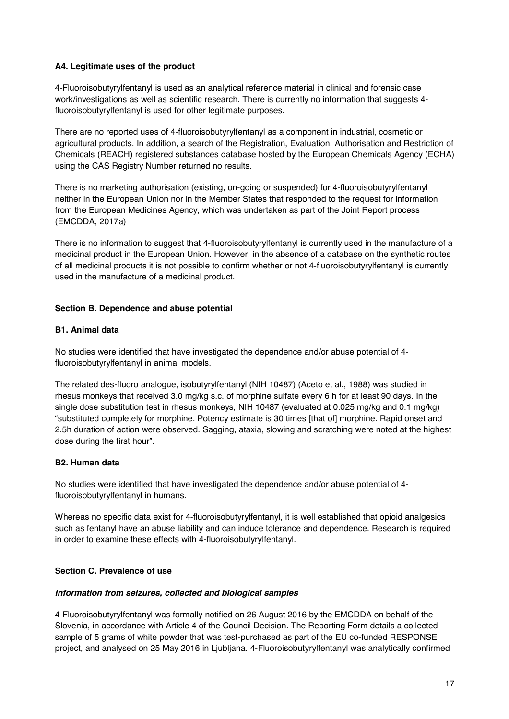## **A4. Legitimate uses of the product**

4-Fluoroisobutyrylfentanyl is used as an analytical reference material in clinical and forensic case work/investigations as well as scientific research. There is currently no information that suggests 4 fluoroisobutyrylfentanyl is used for other legitimate purposes.

There are no reported uses of 4-fluoroisobutyrylfentanyl as a component in industrial, cosmetic or agricultural products. In addition, a search of the Registration, Evaluation, Authorisation and Restriction of Chemicals (REACH) registered substances database hosted by the European Chemicals Agency (ECHA) using the CAS Registry Number returned no results.

There is no marketing authorisation (existing, on-going or suspended) for 4-fluoroisobutyrylfentanyl neither in the European Union nor in the Member States that responded to the request for information from the European Medicines Agency, which was undertaken as part of the Joint Report process (EMCDDA, 2017a)

There is no information to suggest that 4-fluoroisobutyrylfentanyl is currently used in the manufacture of a medicinal product in the European Union. However, in the absence of a database on the synthetic routes of all medicinal products it is not possible to confirm whether or not 4-fluoroisobutyrylfentanyl is currently used in the manufacture of a medicinal product.

# **Section B. Dependence and abuse potential**

## **B1. Animal data**

No studies were identified that have investigated the dependence and/or abuse potential of 4 fluoroisobutyrylfentanyl in animal models.

The related des-fluoro analogue, isobutyrylfentanyl (NIH 10487) (Aceto et al., 1988) was studied in rhesus monkeys that received 3.0 mg/kg s.c. of morphine sulfate every 6 h for at least 90 days. In the single dose substitution test in rhesus monkeys, NIH 10487 (evaluated at 0.025 mg/kg and 0.1 mg/kg) substituted completely for morphine. Potency estimate is 30 times [that of] morphine. Rapid onset and 2.5h duration of action were observed. Sagging, ataxia, slowing and scratching were noted at the highest dose during the first hour

## **B2. Human data**

No studies were identified that have investigated the dependence and/or abuse potential of 4 fluoroisobutyrylfentanyl in humans.

Whereas no specific data exist for 4-fluoroisobutyrylfentanyl, it is well established that opioid analgesics such as fentanyl have an abuse liability and can induce tolerance and dependence. Research is required in order to examine these effects with 4-fluoroisobutyrylfentanyl.

# **Section C. Prevalence of use**

## *Information from seizures, collected and biological samples*

4-Fluoroisobutyrylfentanyl was formally notified on 26 August 2016 by the EMCDDA on behalf of the Slovenia, in accordance with Article 4 of the Council Decision. The Reporting Form details a collected sample of 5 grams of white powder that was test-purchased as part of the EU co-funded RESPONSE project, and analysed on 25 May 2016 in Ljubljana. 4-Fluoroisobutyrylfentanyl was analytically confirmed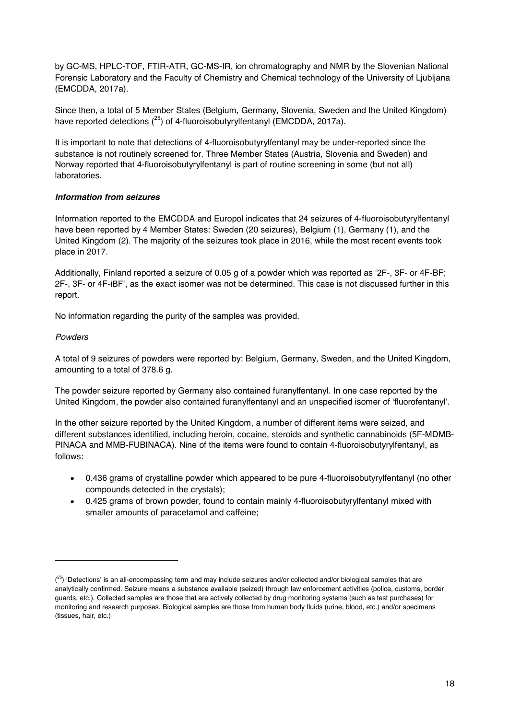by GC-MS, HPLC-TOF, FTIR-ATR, GC-MS-IR, ion chromatography and NMR by the Slovenian National Forensic Laboratory and the Faculty of Chemistry and Chemical technology of the University of Ljubljana (EMCDDA, 2017a).

Since then, a total of 5 Member States (Belgium, Germany, Slovenia, Sweden and the United Kingdom) have reported detections  $(^{25})$  of 4-fluoroisobutyr visitation (EMCDDA, 2017a).

It is important to note that detections of 4-fluoroisobutyrylfentanyl may be under-reported since the substance is not routinely screened for. Three Member States (Austria, Slovenia and Sweden) and Norway reported that 4-fluoroisobutyrylfentanyl is part of routine screening in some (but not all) laboratories.

# *Information from seizures*

Information reported to the EMCDDA and Europol indicates that 24 seizures of 4-fluoroisobutyrylfentanyl have been reported by 4 Member States: Sweden (20 seizures), Belgium (1), Germany (1), and the United Kingdom (2). The majority of the seizures took place in 2016, while the most recent events took place in 2017.

Additionally, Finland reported a seizure of 0.05 g of a powder which was reported as  $2F$ -, 3F- or 4F-BF; 2F-, 3F- or 4F-iBF', as the exact isomer was not be determined. This case is not discussed further in this report.

No information regarding the purity of the samples was provided.

## *Powders*

-

A total of 9 seizures of powders were reported by: Belgium, Germany, Sweden, and the United Kingdom, amounting to a total of 378.6 g.

The powder seizure reported by Germany also contained furanylfentanyl. In one case reported by the United Kingdom, the powder also contained furanylfentanyl and an unspecified isomer of 'fluorofentanyl'.

In the other seizure reported by the United Kingdom, a number of different items were seized, and different substances identified, including heroin, cocaine, steroids and synthetic cannabinoids (5F-MDMB-PINACA and MMB-FUBINACA). Nine of the items were found to contain 4-fluoroisobutyrylfentanyl, as follows:

- 0.436 grams of crystalline powder which appeared to be pure 4-fluoroisobutyrylfentanyl (no other compounds detected in the crystals);
- 0.425 grams of brown powder, found to contain mainly 4-fluoroisobutyrylfentanyl mixed with smaller amounts of paracetamol and caffeine;

<sup>&</sup>lt;sup>(25</sup>) 'Detections' is an all-encompassing term and may include seizures and/or collected and/or biological samples that are analytically confirmed. Seizure means a substance available (seized) through law enforcement activities (police, customs, border guards, etc.). Collected samples are those that are actively collected by drug monitoring systems (such as test purchases) for monitoring and research purposes. Biological samples are those from human body fluids (urine, blood, etc.) and/or specimens (tissues, hair, etc.)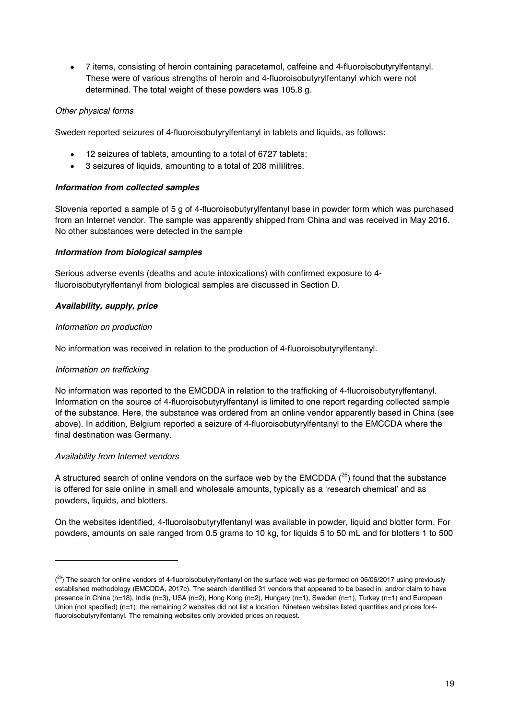7 items, consisting of heroin containing paracetamol, caffeine and 4-fluoroisobutyrylfentanyl. These were of various strengths of heroin and 4-fluoroisobutyrylfentanyl which were not determined. The total weight of these powders was 105.8 g.

# *Other physical forms*

Sweden reported seizures of 4-fluoroisobutyrylfentanyl in tablets and liquids, as follows:

- 12 seizures of tablets, amounting to a total of 6727 tablets;
- 3 seizures of liquids, amounting to a total of 208 millilitres.

# *Information from collected samples*

Slovenia reported a sample of 5 g of 4-fluoroisobutyrylfentanyl base in powder form which was purchased from an Internet vendor. The sample was apparently shipped from China and was received in May 2016. No other substances were detected in the sample

# *Information from biological samples*

Serious adverse events (deaths and acute intoxications) with confirmed exposure to 4 fluoroisobutyrylfentanyl from biological samples are discussed in Section D.

# *Availability, supply, price*

## *Information on production*

No information was received in relation to the production of 4-fluoroisobutyrylfentanyl.

## *Information on trafficking*

No information was reported to the EMCDDA in relation to the trafficking of 4-fluoroisobutyrylfentanyl. Information on the source of 4-fluoroisobutyrylfentanyl is limited to one report regarding collected sample of the substance. Here, the substance was ordered from an online vendor apparently based in China (see above). In addition, Belgium reported a seizure of 4-fluoroisobutyrylfentanyl to the EMCCDA where the final destination was Germany.

## *Availability from Internet vendors*

-

A structured search of online vendors on the surface web by the EMCDDA  $(^{26})$  found that the substance is offered for sale online in small and wholesale amounts, typically as a 'research chemical' and as powders, liquids, and blotters.

On the websites identified, 4-fluoroisobutyrylfentanyl was available in powder, liquid and blotter form. For powders, amounts on sale ranged from 0.5 grams to 10 kg, for liquids 5 to 50 mL and for blotters 1 to 500

<sup>(&</sup>lt;sup>26</sup>) The search for online vendors of 4-fluoroisobutyrylfentanyl on the surface web was performed on 06/06/2017 using previously established methodology (EMCDDA, 2017c). The search identified 31 vendors that appeared to be based in, and/or claim to have presence in China (n=18), India (n=3), USA (n=2), Hong Kong (n=2), Hungary (n=1), Sweden (n=1), Turkey (n=1) and European Union (not specified) (n=1); the remaining 2 websites did not list a location. Nineteen websites listed quantities and prices for4fluoroisobutyrylfentanyl. The remaining websites only provided prices on request.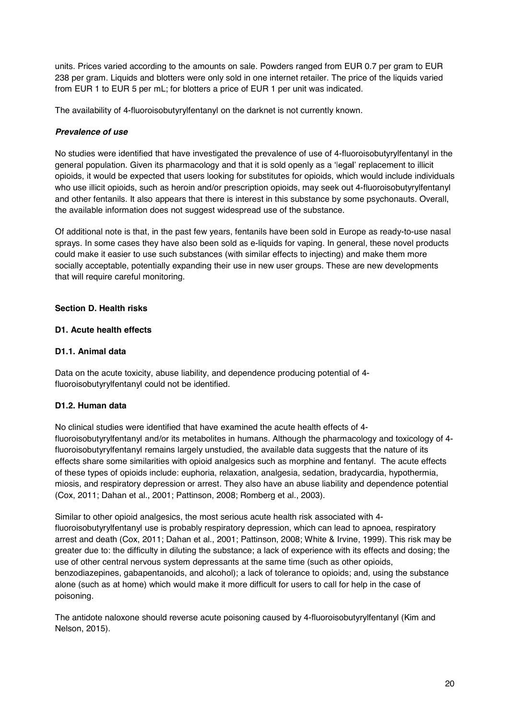units. Prices varied according to the amounts on sale. Powders ranged from EUR 0.7 per gram to EUR 238 per gram. Liquids and blotters were only sold in one internet retailer. The price of the liquids varied from EUR 1 to EUR 5 per mL; for blotters a price of EUR 1 per unit was indicated.

The availability of 4-fluoroisobutyrylfentanyl on the darknet is not currently known.

# *Prevalence of use*

No studies were identified that have investigated the prevalence of use of 4-fluoroisobutyrylfentanyl in the general population. Given its pharmacology and that it is sold openly as a 'legal' replacement to illicit opioids, it would be expected that users looking for substitutes for opioids, which would include individuals who use illicit opioids, such as heroin and/or prescription opioids, may seek out 4-fluoroisobutyrylfentanyl and other fentanils. It also appears that there is interest in this substance by some psychonauts. Overall, the available information does not suggest widespread use of the substance.

Of additional note is that, in the past few years, fentanils have been sold in Europe as ready-to-use nasal sprays. In some cases they have also been sold as e-liquids for vaping. In general, these novel products could make it easier to use such substances (with similar effects to injecting) and make them more socially acceptable, potentially expanding their use in new user groups. These are new developments that will require careful monitoring.

# **Section D. Health risks**

## **D1. Acute health effects**

# **D1.1. Animal data**

Data on the acute toxicity, abuse liability, and dependence producing potential of 4 fluoroisobutyrylfentanyl could not be identified.

## **D1.2. Human data**

No clinical studies were identified that have examined the acute health effects of 4 fluoroisobutyrylfentanyl and/or its metabolites in humans. Although the pharmacology and toxicology of 4 fluoroisobutyrylfentanyl remains largely unstudied, the available data suggests that the nature of its effects share some similarities with opioid analgesics such as morphine and fentanyl. The acute effects of these types of opioids include: euphoria, relaxation, analgesia, sedation, bradycardia, hypothermia, miosis, and respiratory depression or arrest. They also have an abuse liability and dependence potential (Cox, 2011; Dahan et al., 2001; Pattinson, 2008; Romberg et al., 2003).

Similar to other opioid analgesics, the most serious acute health risk associated with 4 fluoroisobutyrylfentanyl use is probably respiratory depression, which can lead to apnoea, respiratory arrest and death (Cox, 2011; Dahan et al., 2001; Pattinson, 2008; White & Irvine, 1999). This risk may be greater due to: the difficulty in diluting the substance; a lack of experience with its effects and dosing; the use of other central nervous system depressants at the same time (such as other opioids, benzodiazepines, gabapentanoids, and alcohol); a lack of tolerance to opioids; and, using the substance alone (such as at home) which would make it more difficult for users to call for help in the case of poisoning.

The antidote naloxone should reverse acute poisoning caused by 4-fluoroisobutyrylfentanyl (Kim and Nelson, 2015).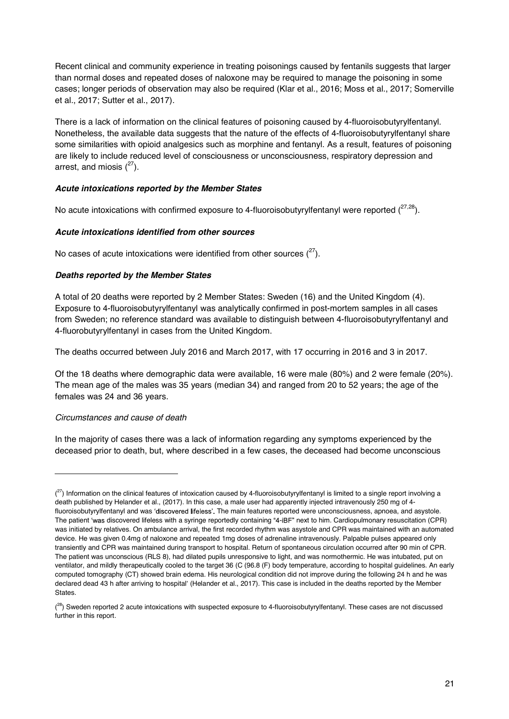Recent clinical and community experience in treating poisonings caused by fentanils suggests that larger than normal doses and repeated doses of naloxone may be required to manage the poisoning in some cases; longer periods of observation may also be required (Klar et al., 2016; Moss et al., 2017; Somerville et al., 2017; Sutter et al., 2017).

There is a lack of information on the clinical features of poisoning caused by 4-fluoroisobutyrylfentanyl. Nonetheless, the available data suggests that the nature of the effects of 4-fluoroisobutyrylfentanyl share some similarities with opioid analgesics such as morphine and fentanyl. As a result, features of poisoning are likely to include reduced level of consciousness or unconsciousness, respiratory depression and arrest, and miosis  $(^{27})$ .

# *Acute intoxications reported by the Member States*

No acute intoxications with confirmed exposure to 4-fluoroisobutyrylfentanyl were reported  $(^{27,28})$ .

# *Acute intoxications identified from other sources*

No cases of acute intoxications were identified from other sources  $(^{27})$ .

# *Deaths reported by the Member States*

A total of 20 deaths were reported by 2 Member States: Sweden (16) and the United Kingdom (4). Exposure to 4-fluoroisobutyrylfentanyl was analytically confirmed in post-mortem samples in all cases from Sweden; no reference standard was available to distinguish between 4-fluoroisobutyrylfentanyl and 4-fluorobutyrylfentanyl in cases from the United Kingdom.

The deaths occurred between July 2016 and March 2017, with 17 occurring in 2016 and 3 in 2017.

Of the 18 deaths where demographic data were available, 16 were male (80%) and 2 were female (20%). The mean age of the males was 35 years (median 34) and ranged from 20 to 52 years; the age of the females was 24 and 36 years.

## *Circumstances and cause of death*

j

In the majority of cases there was a lack of information regarding any symptoms experienced by the deceased prior to death, but, where described in a few cases, the deceased had become unconscious

 $\binom{27}{1}$  Information on the clinical features of intoxication caused by 4-fluoroisobutyrylfentanyl is limited to a single report involving a death published by Helander et al., (2017). In this case, a male user had apparently injected intravenously 250 mg of 4 fluoroisobutyrylfentanyl and was 'discovered lifeless'. The main features reported were unconsciousness, apnoea, and asystole. The patient 'was discovered lifeless with a syringe reportedly containing "4-iBF" next to him. Cardiopulmonary resuscitation (CPR) was initiated by relatives. On ambulance arrival, the first recorded rhythm was asystole and CPR was maintained with an automated device. He was given 0.4mg of naloxone and repeated 1mg doses of adrenaline intravenously. Palpable pulses appeared only transiently and CPR was maintained during transport to hospital. Return of spontaneous circulation occurred after 90 min of CPR. The patient was unconscious (RLS 8), had dilated pupils unresponsive to light, and was normothermic. He was intubated, put on ventilator, and mildly therapeutically cooled to the target 36 (C (96.8 (F) body temperature, according to hospital guidelines. An early computed tomography (CT) showed brain edema. His neurological condition did not improve during the following 24 h and he was declared dead 43 h after arriving to hospital' (Helander et al., 2017). This case is included in the deaths reported by the Member States.

<sup>(&</sup>lt;sup>28</sup>) Sweden reported 2 acute intoxications with suspected exposure to 4-fluoroisobutyrylfentanyl. These cases are not discussed further in this report.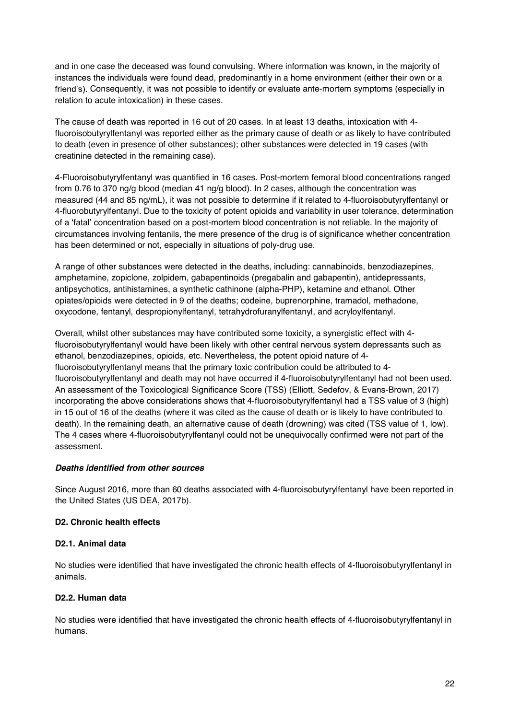and in one case the deceased was found convulsing. Where information was known, in the majority of instances the individuals were found dead, predominantly in a home environment (either their own or a friend's). Consequently, it was not possible to identify or evaluate ante-mortem symptoms (especially in relation to acute intoxication) in these cases.

The cause of death was reported in 16 out of 20 cases. In at least 13 deaths, intoxication with 4 fluoroisobutyrylfentanyl was reported either as the primary cause of death or as likely to have contributed to death (even in presence of other substances); other substances were detected in 19 cases (with creatinine detected in the remaining case).

4-Fluoroisobutyrylfentanyl was quantified in 16 cases. Post-mortem femoral blood concentrations ranged from 0.76 to 370 ng/g blood (median 41 ng/g blood). In 2 cases, although the concentration was measured (44 and 85 ng/mL), it was not possible to determine if it related to 4-fluoroisobutyrylfentanyl or 4-fluorobutyrylfentanyl. Due to the toxicity of potent opioids and variability in user tolerance, determination of a 'fatal' concentration based on a post-mortem blood concentration is not reliable. In the majority of circumstances involving fentanils, the mere presence of the drug is of significance whether concentration has been determined or not, especially in situations of poly-drug use.

A range of other substances were detected in the deaths, including: cannabinoids, benzodiazepines, amphetamine, zopiclone, zolpidem, gabapentinoids (pregabalin and gabapentin), antidepressants, antipsychotics, antihistamines, a synthetic cathinone (alpha-PHP), ketamine and ethanol. Other opiates/opioids were detected in 9 of the deaths; codeine, buprenorphine, tramadol, methadone, oxycodone, fentanyl, despropionylfentanyl, tetrahydrofuranylfentanyl, and acryloylfentanyl.

Overall, whilst other substances may have contributed some toxicity, a synergistic effect with 4 fluoroisobutyrylfentanyl would have been likely with other central nervous system depressants such as ethanol, benzodiazepines, opioids, etc. Nevertheless, the potent opioid nature of 4 fluoroisobutyrylfentanyl means that the primary toxic contribution could be attributed to 4 fluoroisobutyrylfentanyl and death may not have occurred if 4-fluoroisobutyrylfentanyl had not been used. An assessment of the Toxicological Significance Score (TSS) (Elliott, Sedefov, & Evans-Brown, 2017) incorporating the above considerations shows that 4-fluoroisobutyrylfentanyl had a TSS value of 3 (high) in 15 out of 16 of the deaths (where it was cited as the cause of death or is likely to have contributed to death). In the remaining death, an alternative cause of death (drowning) was cited (TSS value of 1, low). The 4 cases where 4-fluoroisobutyrylfentanyl could not be unequivocally confirmed were not part of the assessment.

## *Deaths identified from other sources*

Since August 2016, more than 60 deaths associated with 4-fluoroisobutyrylfentanyl have been reported in the United States (US DEA, 2017b).

## **D2. Chronic health effects**

## **D2.1. Animal data**

No studies were identified that have investigated the chronic health effects of 4-fluoroisobutyrylfentanyl in animals.

# **D2.2. Human data**

No studies were identified that have investigated the chronic health effects of 4-fluoroisobutyrylfentanyl in humans.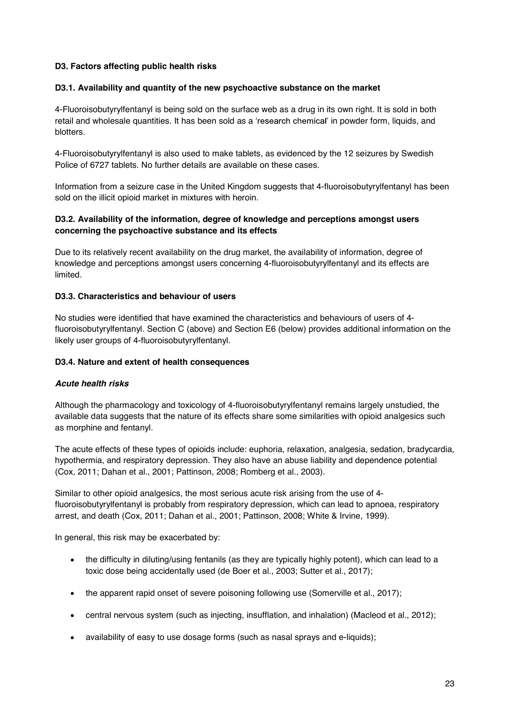# **D3. Factors affecting public health risks**

### **D3.1. Availability and quantity of the new psychoactive substance on the market**

4-Fluoroisobutyrylfentanyl is being sold on the surface web as a drug in its own right. It is sold in both retail and wholesale quantities. It has been sold as a 'research chemical' in powder form, liquids, and blotters.

4-Fluoroisobutyrylfentanyl is also used to make tablets, as evidenced by the 12 seizures by Swedish Police of 6727 tablets. No further details are available on these cases.

Information from a seizure case in the United Kingdom suggests that 4-fluoroisobutyrylfentanyl has been sold on the illicit opioid market in mixtures with heroin.

# **D3.2. Availability of the information, degree of knowledge and perceptions amongst users concerning the psychoactive substance and its effects**

Due to its relatively recent availability on the drug market, the availability of information, degree of knowledge and perceptions amongst users concerning 4-fluoroisobutyrylfentanyl and its effects are limited.

## **D3.3. Characteristics and behaviour of users**

No studies were identified that have examined the characteristics and behaviours of users of 4 fluoroisobutyrylfentanyl. Section C (above) and Section E6 (below) provides additional information on the likely user groups of 4-fluoroisobutyrylfentanyl.

#### **D3.4. Nature and extent of health consequences**

## *Acute health risks*

Although the pharmacology and toxicology of 4-fluoroisobutyrylfentanyl remains largely unstudied, the available data suggests that the nature of its effects share some similarities with opioid analgesics such as morphine and fentanyl.

The acute effects of these types of opioids include: euphoria, relaxation, analgesia, sedation, bradycardia, hypothermia, and respiratory depression. They also have an abuse liability and dependence potential (Cox, 2011; Dahan et al., 2001; Pattinson, 2008; Romberg et al., 2003).

Similar to other opioid analgesics, the most serious acute risk arising from the use of 4 fluoroisobutyrylfentanyl is probably from respiratory depression, which can lead to apnoea, respiratory arrest, and death (Cox, 2011; Dahan et al., 2001; Pattinson, 2008; White & Irvine, 1999).

In general, this risk may be exacerbated by:

- the difficulty in diluting/using fentanils (as they are typically highly potent), which can lead to a toxic dose being accidentally used (de Boer et al., 2003; Sutter et al., 2017);
- the apparent rapid onset of severe poisoning following use (Somerville et al., 2017);
- central nervous system (such as injecting, insufflation, and inhalation) (Macleod et al., 2012);
- availability of easy to use dosage forms (such as nasal sprays and e-liquids);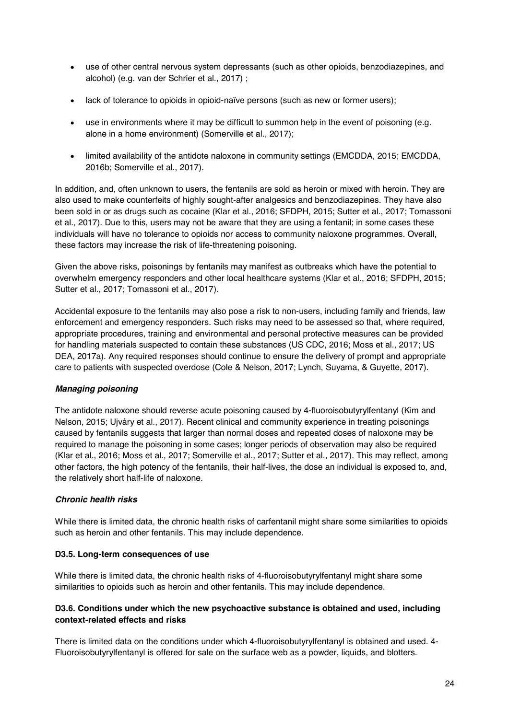- use of other central nervous system depressants (such as other opioids, benzodiazepines, and alcohol) (e.g. van der Schrier et al., 2017) ;
- lack of tolerance to opioids in opioid-naïve persons (such as new or former users);
- use in environments where it may be difficult to summon help in the event of poisoning (e.g. alone in a home environment) (Somerville et al., 2017);
- limited availability of the antidote naloxone in community settings (EMCDDA, 2015; EMCDDA, 2016b; Somerville et al., 2017).

In addition, and, often unknown to users, the fentanils are sold as heroin or mixed with heroin. They are also used to make counterfeits of highly sought-after analgesics and benzodiazepines. They have also been sold in or as drugs such as cocaine (Klar et al., 2016; SFDPH, 2015; Sutter et al., 2017; Tomassoni et al., 2017). Due to this, users may not be aware that they are using a fentanil; in some cases these individuals will have no tolerance to opioids nor access to community naloxone programmes. Overall, these factors may increase the risk of life-threatening poisoning.

Given the above risks, poisonings by fentanils may manifest as outbreaks which have the potential to overwhelm emergency responders and other local healthcare systems (Klar et al., 2016; SFDPH, 2015; Sutter et al., 2017; Tomassoni et al., 2017).

Accidental exposure to the fentanils may also pose a risk to non-users, including family and friends, law enforcement and emergency responders. Such risks may need to be assessed so that, where required, appropriate procedures, training and environmental and personal protective measures can be provided for handling materials suspected to contain these substances (US CDC, 2016; Moss et al., 2017; US DEA, 2017a). Any required responses should continue to ensure the delivery of prompt and appropriate care to patients with suspected overdose (Cole & Nelson, 2017; Lynch, Suyama, & Guyette, 2017).

# *Managing poisoning*

The antidote naloxone should reverse acute poisoning caused by 4-fluoroisobutyrylfentanyl (Kim and Nelson, 2015; Ujváry et al., 2017). Recent clinical and community experience in treating poisonings caused by fentanils suggests that larger than normal doses and repeated doses of naloxone may be required to manage the poisoning in some cases; longer periods of observation may also be required (Klar et al., 2016; Moss et al., 2017; Somerville et al., 2017; Sutter et al., 2017). This may reflect, among other factors, the high potency of the fentanils, their half-lives, the dose an individual is exposed to, and, the relatively short half-life of naloxone.

# *Chronic health risks*

While there is limited data, the chronic health risks of carfentanil might share some similarities to opioids such as heroin and other fentanils. This may include dependence.

## **D3.5. Long-term consequences of use**

While there is limited data, the chronic health risks of 4-fluoroisobutyrylfentanyl might share some similarities to opioids such as heroin and other fentanils. This may include dependence.

# **D3.6. Conditions under which the new psychoactive substance is obtained and used, including context-related effects and risks**

There is limited data on the conditions under which 4-fluoroisobutyrylfentanyl is obtained and used. 4- Fluoroisobutyrylfentanyl is offered for sale on the surface web as a powder, liquids, and blotters.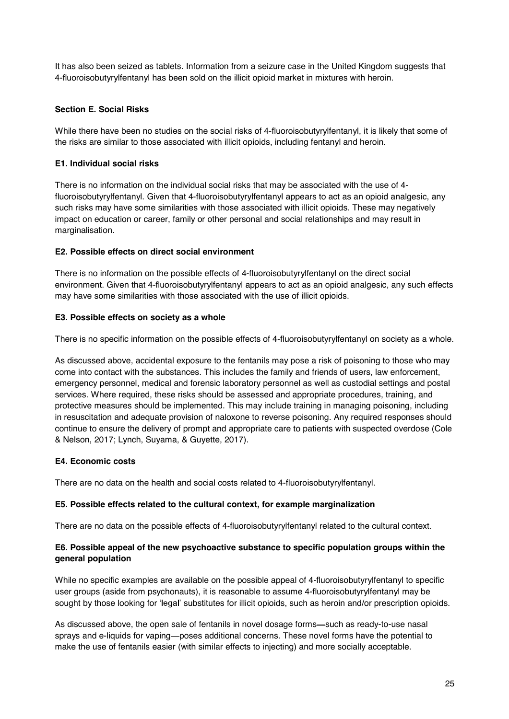It has also been seized as tablets. Information from a seizure case in the United Kingdom suggests that 4-fluoroisobutyrylfentanyl has been sold on the illicit opioid market in mixtures with heroin.

# **Section E. Social Risks**

While there have been no studies on the social risks of 4-fluoroisobutyrylfentanyl, it is likely that some of the risks are similar to those associated with illicit opioids, including fentanyl and heroin.

# **E1. Individual social risks**

There is no information on the individual social risks that may be associated with the use of 4 fluoroisobutyrylfentanyl. Given that 4-fluoroisobutyrylfentanyl appears to act as an opioid analgesic, any such risks may have some similarities with those associated with illicit opioids. These may negatively impact on education or career, family or other personal and social relationships and may result in marginalisation.

# **E2. Possible effects on direct social environment**

There is no information on the possible effects of 4-fluoroisobutyrylfentanyl on the direct social environment. Given that 4-fluoroisobutyrylfentanyl appears to act as an opioid analgesic, any such effects may have some similarities with those associated with the use of illicit opioids.

# **E3. Possible effects on society as a whole**

There is no specific information on the possible effects of 4-fluoroisobutyrylfentanyl on society as a whole.

As discussed above, accidental exposure to the fentanils may pose a risk of poisoning to those who may come into contact with the substances. This includes the family and friends of users, law enforcement, emergency personnel, medical and forensic laboratory personnel as well as custodial settings and postal services. Where required, these risks should be assessed and appropriate procedures, training, and protective measures should be implemented. This may include training in managing poisoning, including in resuscitation and adequate provision of naloxone to reverse poisoning. Any required responses should continue to ensure the delivery of prompt and appropriate care to patients with suspected overdose (Cole & Nelson, 2017; Lynch, Suyama, & Guyette, 2017).

## **E4. Economic costs**

There are no data on the health and social costs related to 4-fluoroisobutyrylfentanyl.

## **E5. Possible effects related to the cultural context, for example marginalization**

There are no data on the possible effects of 4-fluoroisobutyrylfentanyl related to the cultural context.

# **E6. Possible appeal of the new psychoactive substance to specific population groups within the general population**

While no specific examples are available on the possible appeal of 4-fluoroisobutyrylfentanyl to specific user groups (aside from psychonauts), it is reasonable to assume 4-fluoroisobutyrylfentanyl may be sought by those looking for 'legal' substitutes for illicit opioids, such as heroin and/or prescription opioids.

As discussed above, the open sale of fentanils in novel dosage forms—such as ready-to-use nasal sprays and e-liquids for vaping-poses additional concerns. These novel forms have the potential to make the use of fentanils easier (with similar effects to injecting) and more socially acceptable.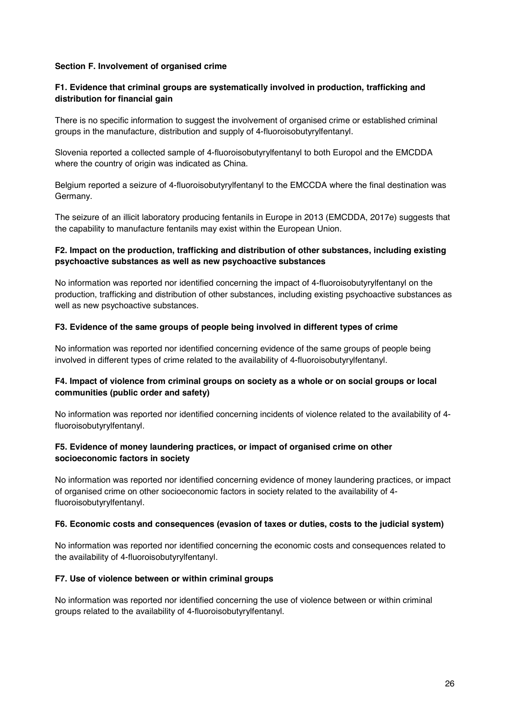## **Section F. Involvement of organised crime**

# **F1. Evidence that criminal groups are systematically involved in production, trafficking and distribution for financial gain**

There is no specific information to suggest the involvement of organised crime or established criminal groups in the manufacture, distribution and supply of 4-fluoroisobutyrylfentanyl.

Slovenia reported a collected sample of 4-fluoroisobutyrylfentanyl to both Europol and the EMCDDA where the country of origin was indicated as China.

Belgium reported a seizure of 4-fluoroisobutyrylfentanyl to the EMCCDA where the final destination was Germany.

The seizure of an illicit laboratory producing fentanils in Europe in 2013 (EMCDDA, 2017e) suggests that the capability to manufacture fentanils may exist within the European Union.

## **F2. Impact on the production, trafficking and distribution of other substances, including existing psychoactive substances as well as new psychoactive substances**

No information was reported nor identified concerning the impact of 4-fluoroisobutyrylfentanyl on the production, trafficking and distribution of other substances, including existing psychoactive substances as well as new psychoactive substances.

#### **F3. Evidence of the same groups of people being involved in different types of crime**

No information was reported nor identified concerning evidence of the same groups of people being involved in different types of crime related to the availability of 4-fluoroisobutyrylfentanyl.

# **F4. Impact of violence from criminal groups on society as a whole or on social groups or local communities (public order and safety)**

No information was reported nor identified concerning incidents of violence related to the availability of 4 fluoroisobutyrylfentanyl.

## **F5. Evidence of money laundering practices, or impact of organised crime on other socioeconomic factors in society**

No information was reported nor identified concerning evidence of money laundering practices, or impact of organised crime on other socioeconomic factors in society related to the availability of 4 fluoroisobutyrylfentanyl.

#### **F6. Economic costs and consequences (evasion of taxes or duties, costs to the judicial system)**

No information was reported nor identified concerning the economic costs and consequences related to the availability of 4-fluoroisobutyrylfentanyl.

#### **F7. Use of violence between or within criminal groups**

No information was reported nor identified concerning the use of violence between or within criminal groups related to the availability of 4-fluoroisobutyrylfentanyl.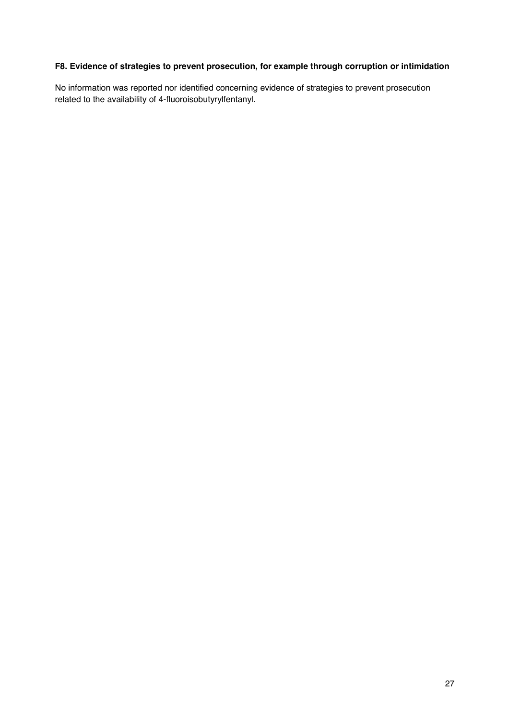# **F8. Evidence of strategies to prevent prosecution, for example through corruption or intimidation**

No information was reported nor identified concerning evidence of strategies to prevent prosecution related to the availability of 4-fluoroisobutyrylfentanyl.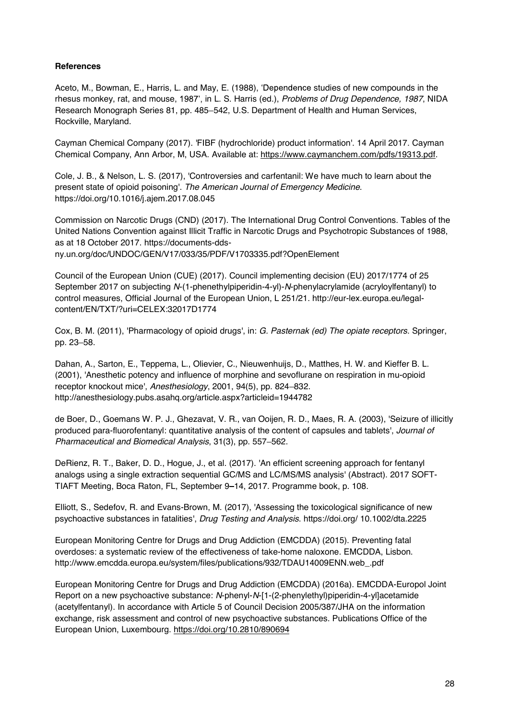# **References**

Aceto, M., Bowman, E., Harris, L. and May, E. (1988), 'Dependence studies of new compounds in the rhesus monkey, rat, and mouse, 1987', in L. S. Harris (ed.), *Problems of Drug Dependence, 1987*, NIDA Research Monograph Series 81, pp. 485–542, U.S. Department of Health and Human Services, Rockville, Maryland.

Cayman Chemical Company (2017). 'FIBF (hydrochloride) product information'. 14 April 2017. Cayman Chemical Company, Ann Arbor, M, USA. Available at: https://www.caymanchem.com/pdfs/19313.pdf.

Cole, J. B., & Nelson, L. S. (2017), 'Controversies and carfentanil: We have much to learn about the present state of opioid poisoning'. *The American Journal of Emergency Medicine*. https://doi.org/10.1016/j.ajem.2017.08.045

Commission on Narcotic Drugs (CND) (2017). The International Drug Control Conventions. Tables of the United Nations Convention against Illicit Traffic in Narcotic Drugs and Psychotropic Substances of 1988, as at 18 October 2017. https://documents-ddsny.un.org/doc/UNDOC/GEN/V17/033/35/PDF/V1703335.pdf?OpenElement

Council of the European Union (CUE) (2017). Council implementing decision (EU) 2017/1774 of 25 September 2017 on subjecting *N*-(1-phenethylpiperidin-4-yl)-*N*-phenylacrylamide (acryloylfentanyl) to control measures, Official Journal of the European Union, L 251/21. http://eur-lex.europa.eu/legalcontent/EN/TXT/?uri=CELEX:32017D1774

Cox, B. M. (2011), 'Pharmacology of opioid drugs', in: *G. Pasternak (ed) The opiate receptors*. Springer, pp. 23-58.

Dahan, A., Sarton, E., Teppema, L., Olievier, C., Nieuwenhuijs, D., Matthes, H. W. and Kieffer B. L. (2001), 'Anesthetic potency and influence of morphine and sevoflurane on respiration in mu-opioid receptor knockout mice', Anesthesiology, 2001, 94(5), pp. 824-832. http://anesthesiology.pubs.asahq.org/article.aspx?articleid=1944782

de Boer, D., Goemans W. P. J., Ghezavat, V. R., van Ooijen, R. D., Maes, R. A. (2003), 'Seizure of illicitly produced para-fluorofentanyl: quantitative analysis of the content of capsules and tablets', *Journal of Pharmaceutical and Biomedical Analysis*, 31(3), pp. 557-562.

DeRienz, R. T., Baker, D. D., Hogue, J., et al. (2017). 'An efficient screening approach for fentanyl analogs using a single extraction sequential GC/MS and LC/MS/MS analysis' (Abstract). 2017 SOFT-TIAFT Meeting, Boca Raton, FL, September 9-14, 2017. Programme book, p. 108.

Elliott, S., Sedefov, R. and Evans-Brown, M. (2017), 'Assessing the toxicological significance of new psychoactive substances in fatalities', *Drug Testing and Analysis*. https://doi.org/ 10.1002/dta.2225

European Monitoring Centre for Drugs and Drug Addiction (EMCDDA) (2015). Preventing fatal overdoses: a systematic review of the effectiveness of take-home naloxone. EMCDDA, Lisbon. http://www.emcdda.europa.eu/system/files/publications/932/TDAU14009ENN.web\_.pdf

European Monitoring Centre for Drugs and Drug Addiction (EMCDDA) (2016a). EMCDDA-Europol Joint Report on a new psychoactive substance: *N*-phenyl-*N*-[1-(2-phenylethyl)piperidin-4-yl]acetamide (acetylfentanyl). In accordance with Article 5 of Council Decision 2005/387/JHA on the information exchange, risk assessment and control of new psychoactive substances. Publications Office of the European Union, Luxembourg. https://doi.org/10.2810/890694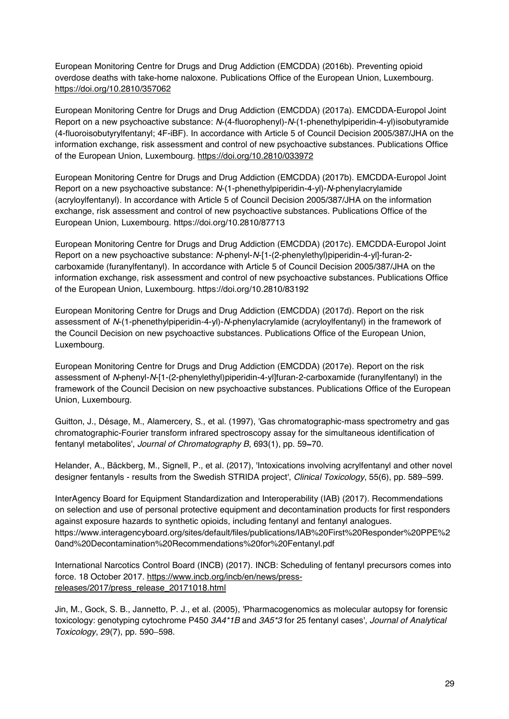European Monitoring Centre for Drugs and Drug Addiction (EMCDDA) (2016b). Preventing opioid overdose deaths with take-home naloxone. Publications Office of the European Union, Luxembourg. https://doi.org/10.2810/357062

European Monitoring Centre for Drugs and Drug Addiction (EMCDDA) (2017a). EMCDDA-Europol Joint Report on a new psychoactive substance: *N*-(4-fluorophenyl)-*N*-(1-phenethylpiperidin-4-yl)isobutyramide (4-fluoroisobutyrylfentanyl; 4F-iBF). In accordance with Article 5 of Council Decision 2005/387/JHA on the information exchange, risk assessment and control of new psychoactive substances. Publications Office of the European Union, Luxembourg. https://doi.org/10.2810/033972

European Monitoring Centre for Drugs and Drug Addiction (EMCDDA) (2017b). EMCDDA-Europol Joint Report on a new psychoactive substance: *N*-(1-phenethylpiperidin-4-yl)-*N*-phenylacrylamide (acryloylfentanyl). In accordance with Article 5 of Council Decision 2005/387/JHA on the information exchange, risk assessment and control of new psychoactive substances. Publications Office of the European Union, Luxembourg. https://doi.org/10.2810/87713

European Monitoring Centre for Drugs and Drug Addiction (EMCDDA) (2017c). EMCDDA-Europol Joint Report on a new psychoactive substance: *N*-phenyl-*N*-[1-(2-phenylethyl)piperidin-4-yl]-furan-2 carboxamide (furanylfentanyl). In accordance with Article 5 of Council Decision 2005/387/JHA on the information exchange, risk assessment and control of new psychoactive substances. Publications Office of the European Union, Luxembourg. https://doi.org/10.2810/83192

European Monitoring Centre for Drugs and Drug Addiction (EMCDDA) (2017d). Report on the risk assessment of *N*-(1-phenethylpiperidin-4-yl)-*N*-phenylacrylamide (acryloylfentanyl) in the framework of the Council Decision on new psychoactive substances. Publications Office of the European Union, Luxembourg.

European Monitoring Centre for Drugs and Drug Addiction (EMCDDA) (2017e). Report on the risk assessment of *N*-phenyl-*N*-[1-(2-phenylethyl)piperidin-4-yl]furan-2-carboxamide (furanylfentanyl) in the framework of the Council Decision on new psychoactive substances. Publications Office of the European Union, Luxembourg.

Guitton, J., Désage, M., Alamercery, S., et al. (1997), 'Gas chromatographic-mass spectrometry and gas chromatographic-Fourier transform infrared spectroscopy assay for the simultaneous identification of fentanyl metabolites', *Journal of Chromatography B*, 693(1), pp. 59-70.

Helander, A., Bäckberg, M., Signell, P., et al. (2017), 'Intoxications involving acrylfentanyl and other novel designer fentanyls - results from the Swedish STRIDA project', *Clinical Toxicology*, 55(6), pp. 589-599.

InterAgency Board for Equipment Standardization and Interoperability (IAB) (2017). Recommendations on selection and use of personal protective equipment and decontamination products for first responders against exposure hazards to synthetic opioids, including fentanyl and fentanyl analogues. https://www.interagencyboard.org/sites/default/files/publications/IAB%20First%20Responder%20PPE%2 0and%20Decontamination%20Recommendations%20for%20Fentanyl.pdf

International Narcotics Control Board (INCB) (2017). INCB: Scheduling of fentanyl precursors comes into force. 18 October 2017. https://www.incb.org/incb/en/news/pressreleases/2017/press\_release\_20171018.html

Jin, M., Gock, S. B., Jannetto, P. J., et al. (2005), 'Pharmacogenomics as molecular autopsy for forensic toxicology: genotyping cytochrome P450 *3A4\*1B* and *3A5\*3* for 25 fentanyl cases', *Journal of Analytical Toxicology*, 29(7), pp. 590-598.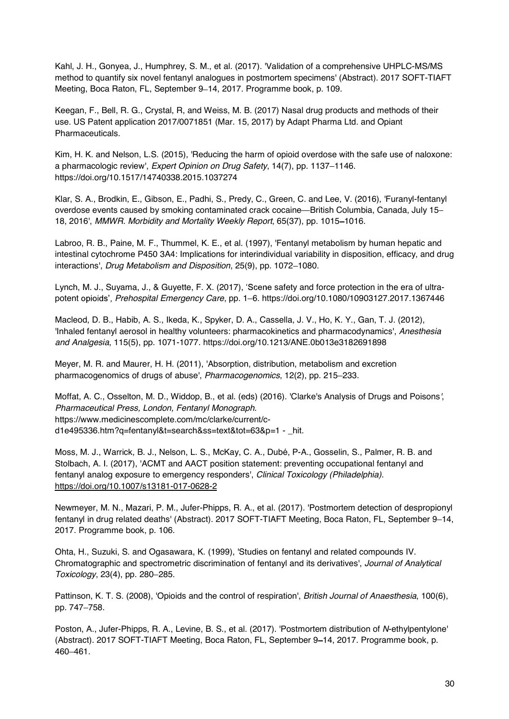Kahl, J. H., Gonyea, J., Humphrey, S. M., et al. (2017). 'Validation of a comprehensive UHPLC-MS/MS method to quantify six novel fentanyl analogues in postmortem specimens' (Abstract). 2017 SOFT-TIAFT Meeting, Boca Raton, FL, September 9-14, 2017. Programme book, p. 109.

Keegan, F., Bell, R. G., Crystal, R, and Weiss, M. B. (2017) Nasal drug products and methods of their use. US Patent application 2017/0071851 (Mar. 15, 2017) by Adapt Pharma Ltd. and Opiant Pharmaceuticals.

Kim, H. K. and Nelson, L.S. (2015), 'Reducing the harm of opioid overdose with the safe use of naloxone: a pharmacologic review', *Expert Opinion on Drug Safety*, 14(7), pp. 1137–1146. https://doi.org/10.1517/14740338.2015.1037274

Klar, S. A., Brodkin, E., Gibson, E., Padhi, S., Predy, C., Green, C. and Lee, V. (2016), 'Furanyl-fentanyl overdose events caused by smoking contaminated crack cocaine—British Columbia, Canada, July 15– 18, 2016', *MMWR. Morbidity and Mortality Weekly Report*, 65(37), pp. 1015-1016.

Labroo, R. B., Paine, M. F., Thummel, K. E., et al. (1997), 'Fentanyl metabolism by human hepatic and intestinal cytochrome P450 3A4: Implications for interindividual variability in disposition, efficacy, and drug interactions', *Drug Metabolism and Disposition*, 25(9), pp. 1072–1080.

Lynch, M. J., Suyama, J., & Guyette, F. X. (2017), 'Scene safety and force protection in the era of ultrapotent opioids', Prehospital Emergency Care, pp. 1-6. https://doi.org/10.1080/10903127.2017.1367446

Macleod, D. B., Habib, A. S., Ikeda, K., Spyker, D. A., Cassella, J. V., Ho, K. Y., Gan, T. J. (2012), 'Inhaled fentanyl aerosol in healthy volunteers: pharmacokinetics and pharmacodynamics', *Anesthesia and Analgesia*, 115(5), pp. 1071-1077. https://doi.org/10.1213/ANE.0b013e3182691898

Meyer, M. R. and Maurer, H. H. (2011), 'Absorption, distribution, metabolism and excretion pharmacogenomics of drugs of abuse', *Pharmacogenomics*, 12(2), pp. 215–233.

Moffat, A. C., Osselton, M. D., Widdop, B., et al. (eds) (2016). 'Clarke's Analysis of Drugs and Poisons*'*, *Pharmaceutical Press, London, Fentanyl Monograph*. https://www.medicinescomplete.com/mc/clarke/current/cd1e495336.htm?q=fentanyl&t=search&ss=text&tot=63&p=1 - \_hit.

Moss, M. J., Warrick, B. J., Nelson, L. S., McKay, C. A., Dubé, P-A., Gosselin, S., Palmer, R. B. and Stolbach, A. I. (2017), 'ACMT and AACT position statement: preventing occupational fentanyl and fentanyl analog exposure to emergency responders', *Clinical Toxicology (Philadelphia)*. https://doi.org/10.1007/s13181-017-0628-2

Newmeyer, M. N., Mazari, P. M., Jufer-Phipps, R. A., et al. (2017). 'Postmortem detection of despropionyl fentanyl in drug related deaths' (Abstract). 2017 SOFT-TIAFT Meeting, Boca Raton, FL, September 9-14, 2017. Programme book, p. 106.

Ohta, H., Suzuki, S. and Ogasawara, K. (1999), 'Studies on fentanyl and related compounds IV. Chromatographic and spectrometric discrimination of fentanyl and its derivatives', *Journal of Analytical Toxicology*, 23(4), pp. 280-285.

Pattinson, K. T. S. (2008), 'Opioids and the control of respiration', *British Journal of Anaesthesia*, 100(6), pp. 747-758.

Poston, A., Jufer-Phipps, R. A., Levine, B. S., et al. (2017). 'Postmortem distribution of *N*-ethylpentylone' (Abstract). 2017 SOFT-TIAFT Meeting, Boca Raton, FL, September 9-14, 2017. Programme book, p. 460 461.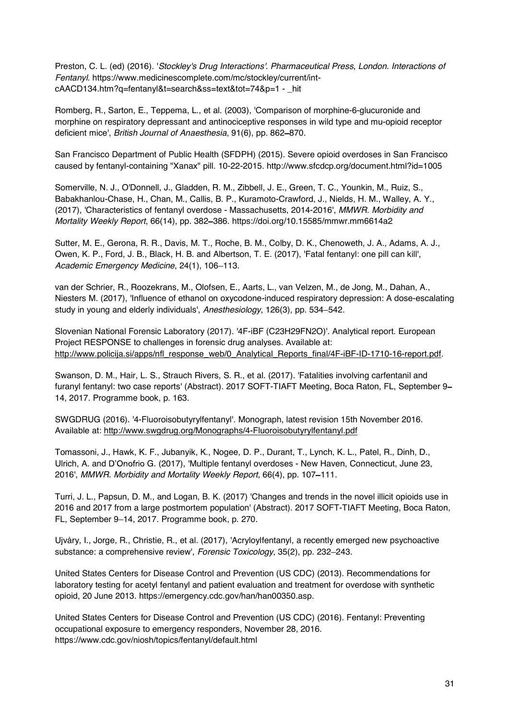Preston, C. L. (ed) (2016). '*Stockley's Drug Interactions'. Pharmaceutical Press, London. Interactions of Fentanyl.* https://www.medicinescomplete.com/mc/stockley/current/intcAACD134.htm?q=fentanyl&t=search&ss=text&tot=74&p=1 - \_hit

Romberg, R., Sarton, E., Teppema, L., et al. (2003), 'Comparison of morphine-6-glucuronide and morphine on respiratory depressant and antinociceptive responses in wild type and mu-opioid receptor deficient mice', *British Journal of Anaesthesia*, 91(6), pp. 862-870.

San Francisco Department of Public Health (SFDPH) (2015). Severe opioid overdoses in San Francisco caused by fentanyl-containing "Xanax" pill. 10-22-2015. http://www.sfcdcp.org/document.html?id=1005

Somerville, N. J., O'Donnell, J., Gladden, R. M., Zibbell, J. E., Green, T. C., Younkin, M., Ruiz, S., Babakhanlou-Chase, H., Chan, M., Callis, B. P., Kuramoto-Crawford, J., Nields, H. M., Walley, A. Y., (2017), 'Characteristics of fentanyl overdose - Massachusetts, 2014-2016', *MMWR. Morbidity and Mortality Weekly Report*, 66(14), pp. 382 386. https://doi.org/10.15585/mmwr.mm6614a2

Sutter, M. E., Gerona, R. R., Davis, M. T., Roche, B. M., Colby, D. K., Chenoweth, J. A., Adams, A. J., Owen, K. P., Ford, J. B., Black, H. B. and Albertson, T. E. (2017), 'Fatal fentanyl: one pill can kill', Academic Emergency Medicine, 24(1), 106-113.

van der Schrier, R., Roozekrans, M., Olofsen, E., Aarts, L., van Velzen, M., de Jong, M., Dahan, A., Niesters M. (2017), 'Influence of ethanol on oxycodone-induced respiratory depression: A dose-escalating study in young and elderly individuals', Anesthesiology, 126(3), pp. 534-542.

Slovenian National Forensic Laboratory (2017). '4F-iBF (C23H29FN2O)'. Analytical report. European Project RESPONSE to challenges in forensic drug analyses. Available at: http://www.policija.si/apps/nfl\_response\_web/0\_Analytical\_Reports\_final/4F-iBF-ID-1710-16-report.pdf.

Swanson, D. M., Hair, L. S., Strauch Rivers, S. R., et al. (2017). 'Fatalities involving carfentanil and furanyl fentanyl: two case reports' (Abstract). 2017 SOFT-TIAFT Meeting, Boca Raton, FL, September 9 14, 2017. Programme book, p. 163.

SWGDRUG (2016). '4-Fluoroisobutyrylfentanyl'. Monograph, latest revision 15th November 2016. Available at: http://www.swgdrug.org/Monographs/4-Fluoroisobutyrylfentanyl.pdf

Tomassoni, J., Hawk, K. F., Jubanyik, K., Nogee, D. P., Durant, T., Lynch, K. L., Patel, R., Dinh, D., Ulrich, A. and D'Onofrio G. (2017), 'Multiple fentanyl overdoses - New Haven, Connecticut, June 23, 2016', *MMWR. Morbidity and Mortality Weekly Report*, 66(4), pp. 107–111.

Turri, J. L., Papsun, D. M., and Logan, B. K. (2017) 'Changes and trends in the novel illicit opioids use in 2016 and 2017 from a large postmortem population' (Abstract). 2017 SOFT-TIAFT Meeting, Boca Raton, FL, September 9-14, 2017. Programme book, p. 270.

Ujváry, I., Jorge, R., Christie, R., et al. (2017), 'Acryloylfentanyl, a recently emerged new psychoactive substance: a comprehensive review', *Forensic Toxicology*, 35(2), pp. 232-243.

United States Centers for Disease Control and Prevention (US CDC) (2013). Recommendations for laboratory testing for acetyl fentanyl and patient evaluation and treatment for overdose with synthetic opioid, 20 June 2013. https://emergency.cdc.gov/han/han00350.asp.

United States Centers for Disease Control and Prevention (US CDC) (2016). Fentanyl: Preventing occupational exposure to emergency responders, November 28, 2016. https://www.cdc.gov/niosh/topics/fentanyl/default.html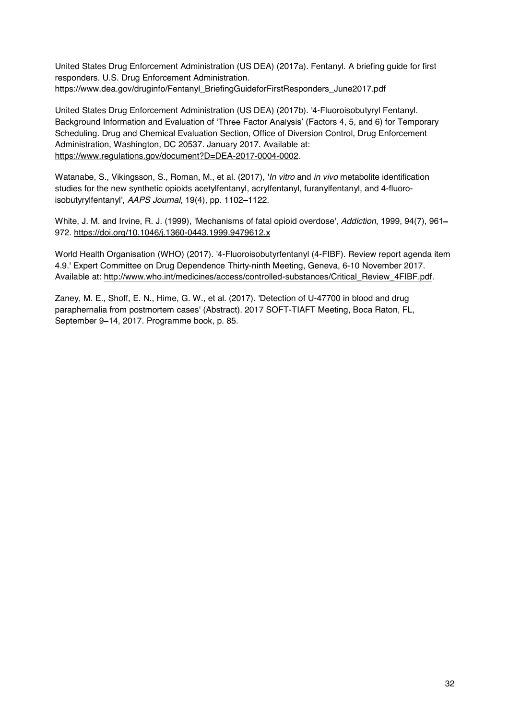United States Drug Enforcement Administration (US DEA) (2017a). Fentanyl. A briefing guide for first responders. U.S. Drug Enforcement Administration. https://www.dea.gov/druginfo/Fentanyl\_BriefingGuideforFirstResponders\_June2017.pdf

United States Drug Enforcement Administration (US DEA) (2017b). '4-Fluoroisobutyryl Fentanyl*.* Background Information and Evaluation of 'Three Factor Analysis' (Factors 4, 5, and 6) for Temporary Scheduling. Drug and Chemical Evaluation Section, Office of Diversion Control, Drug Enforcement Administration, Washington, DC 20537. January 2017. Available at: https://www.regulations.gov/document?D=DEA-2017-0004-0002.

Watanabe, S., Vikingsson, S., Roman, M., et al. (2017), '*In vitro* and *in vivo* metabolite identification studies for the new synthetic opioids acetylfentanyl, acrylfentanyl, furanylfentanyl, and 4-fluoroisobutyrylfentanyl', AAPS Journal, 19(4), pp. 1102-1122.

White, J. M. and Irvine, R. J. (1999), 'Mechanisms of fatal opioid overdose', *Addiction*, 1999, 94(7), 961 972. https://doi.org/10.1046/j.1360-0443.1999.9479612.x

World Health Organisation (WHO) (2017). '4-Fluoroisobutyrfentanyl (4-FIBF). Review report agenda item 4.9.' Expert Committee on Drug Dependence Thirty-ninth Meeting, Geneva, 6-10 November 2017. Available at: http://www.who.int/medicines/access/controlled-substances/Critical\_Review\_4FIBF.pdf.

Zaney, M. E., Shoff, E. N., Hime, G. W., et al. (2017). 'Detection of U-47700 in blood and drug paraphernalia from postmortem cases' (Abstract). 2017 SOFT-TIAFT Meeting, Boca Raton, FL, September 9-14, 2017. Programme book, p. 85.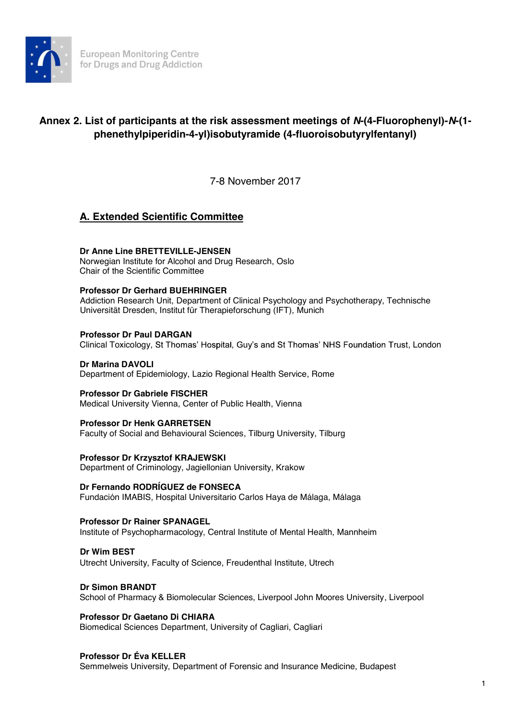

# **Annex 2. List of participants at the risk assessment meetings of** *N***-(4-Fluorophenyl)-***N***-(1 phenethylpiperidin-4-yl)isobutyramide (4-fluoroisobutyrylfentanyl)**

7-8 November 2017

# **A. Extended Scientific Committee**

# **Dr Anne Line BRETTEVILLE-JENSEN**

Norwegian Institute for Alcohol and Drug Research, Oslo Chair of the Scientific Committee

## **Professor Dr Gerhard BUEHRINGER**

Addiction Research Unit, Department of Clinical Psychology and Psychotherapy, Technische Universität Dresden, Institut für Therapieforschung (IFT), Munich

## **Professor Dr Paul DARGAN**

Clinical Toxicology, St Thomas' Hospital, Guy's and St Thomas' NHS Foundation Trust, London

#### **Dr Marina DAVOLI**  Department of Epidemiology, Lazio Regional Health Service, Rome

**Professor Dr Gabriele FISCHER**  Medical University Vienna, Center of Public Health, Vienna

## **Professor Dr Henk GARRETSEN**

Faculty of Social and Behavioural Sciences, Tilburg University, Tilburg

## **Professor Dr Krzysztof KRAJEWSKI**

Department of Criminology, Jagiellonian University, Krakow

## **Dr Fernando RODRÍGUEZ de FONSECA**

Fundación IMABIS, Hospital Universitario Carlos Haya de Málaga, Málaga

## **Professor Dr Rainer SPANAGEL**

Institute of Psychopharmacology, Central Institute of Mental Health, Mannheim

## **Dr Wim BEST**

Utrecht University, Faculty of Science, Freudenthal Institute, Utrech

## **Dr Simon BRANDT**

School of Pharmacy & Biomolecular Sciences, Liverpool John Moores University, Liverpool

## **Professor Dr Gaetano Di CHIARA**

Biomedical Sciences Department, University of Cagliari, Cagliari

## **Professor Dr Éva KELLER**

Semmelweis University, Department of Forensic and Insurance Medicine, Budapest